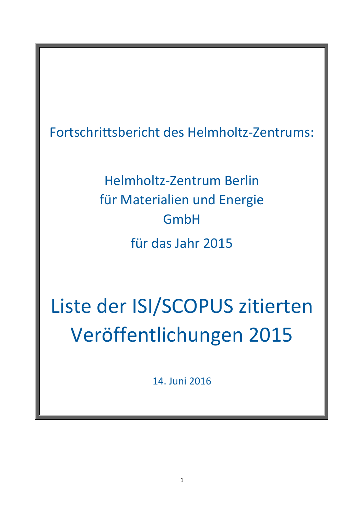Fortschrittsbericht des Helmholtz-Zentrums:

Helmholtz-Zentrum Berlin für Materialien und Energie GmbH für das Jahr 2015

Liste der ISI/SCOPUS zitierten Veröffentlichungen 2015

14. Juni 2016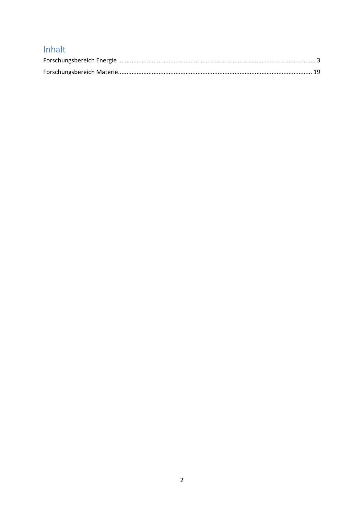## Inhalt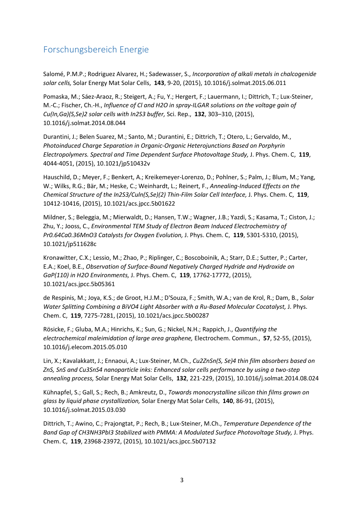## <span id="page-2-0"></span>Forschungsbereich Energie

Salomé, P.M.P.; Rodriguez Alvarez, H.; Sadewasser, S., *Incorporation of alkali metals in chalcogenide solar cells,* Solar Energy Mat Solar Cells, **143**, 9-20, (2015), 10.1016/j.solmat.2015.06.011

Pomaska, M.; Sáez-Araoz, R.; Steigert, A.; Fu, Y.; Hergert, F.; Lauermann, I.; Dittrich, T.; Lux-Steiner, M.-C.; Fischer, Ch.-H., *Influence of Cl and H2O in spray-ILGAR solutions on the voltage gain of Cu(In,Ga)(S,Se)2 solar cells with In2S3 buffer,* Sci. Rep., **132**, 303–310, (2015), 10.1016/j.solmat.2014.08.044

Durantini, J.; Belen Suarez, M.; Santo, M.; Durantini, E.; Dittrich, T.; Otero, L.; Gervaldo, M., *Photoinduced Charge Separation in Organic-Organic Heterojunctions Based on Porphyrin Electropolymers. Spectral and Time Dependent Surface Photovoltage Study,* J. Phys. Chem. C, **119**, 4044-4051, (2015), 10.1021/jp510432v

Hauschild, D.; Meyer, F.; Benkert, A.; Kreikemeyer-Lorenzo, D.; Pohlner, S.; Palm, J.; Blum, M.; Yang, W.; Wilks, R.G.; Bär, M.; Heske, C.; Weinhardt, L.; Reinert, F., *Annealing-Induced Effects on the Chemical Structure of the In2S3/Culn(S,Se)(2) Thin-Film Solar Cell Interface,* J. Phys. Chem. C, **119**, 10412-10416, (2015), 10.1021/acs.jpcc.5b01622

Mildner, S.; Beleggia, M.; Mierwaldt, D.; Hansen, T.W.; Wagner, J.B.; Yazdi, S.; Kasama, T.; Ciston, J.; Zhu, Y.; Jooss, C., *Environmental TEM Study of Electron Beam Induced Electrochemistry of Pr0.64Ca0.36MnO3 Catalysts for Oxygen Evolution,* J. Phys. Chem. C, **119**, 5301-5310, (2015), 10.1021/jp511628c

Kronawitter, C.X.; Lessio, M.; Zhao, P.; Riplinger, C.; Boscoboinik, A.; Starr, D.E.; Sutter, P.; Carter, E.A.; Koel, B.E., *Observation of Surface-Bound Negatively Charged Hydride and Hydroxide on GaP(110) in H2O Environments,* J. Phys. Chem. C, **119**, 17762-17772, (2015), 10.1021/acs.jpcc.5b05361

de Respinis, M.; Joya, K.S.; de Groot, H.J.M.; D'Souza, F.; Smith, W.A.; van de Krol, R.; Dam, B., *Solar*  Water Splitting Combining a BiVO4 Light Absorber with a Ru-Based Molecular Cocatalyst, J. Phys. Chem. C, **119**, 7275-7281, (2015), 10.1021/acs.jpcc.5b00287

Rösicke, F.; Gluba, M.A.; Hinrichs, K.; Sun, G.; Nickel, N.H.; Rappich, J., *Quantifying the electrochemical maleimidation of large area graphene,* Electrochem. Commun., **57**, 52-55, (2015), 10.1016/j.elecom.2015.05.010

Lin, X.; Kavalakkatt, J.; Ennaoui, A.; Lux-Steiner, M.Ch., *Cu2ZnSn(S, Se)4 thin film absorbers based on ZnS, SnS and Cu3SnS4 nanoparticle inks: Enhanced solar cells performance by using a two-step annealing process,* Solar Energy Mat Solar Cells, **132**, 221-229, (2015), 10.1016/j.solmat.2014.08.024

Kühnapfel, S.; Gall, S.; Rech, B.; Amkreutz, D., *Towards monocrystalline silicon thin films grown on glass by liquid phase crystallization,* Solar Energy Mat Solar Cells, **140**, 86-91, (2015), 10.1016/j.solmat.2015.03.030

Dittrich, T.; Awino, C.; Prajongtat, P.; Rech, B.; Lux-Steiner, M.Ch., *Temperature Dependence of the*  Band Gap of CH3NH3PbI3 Stabilized with PMMA: A Modulated Surface Photovoltage Study, J. Phys. Chem. C, **119**, 23968-23972, (2015), 10.1021/acs.jpcc.5b07132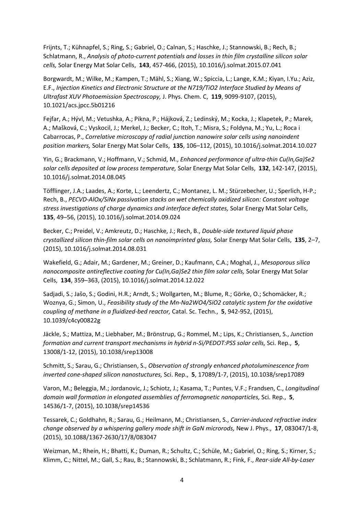Frijnts, T.; Kühnapfel, S.; Ring, S.; Gabriel, O.; Calnan, S.; Haschke, J.; Stannowski, B.; Rech, B.; Schlatmann, R., *Analysis of photo-current potentials and losses in thin film crystalline silicon solar cells,* Solar Energy Mat Solar Cells, **143**, 457-466, (2015), 10.1016/j.solmat.2015.07.041

Borgwardt, M.; Wilke, M.; Kampen, T.; Mähl, S.; Xiang, W.; Spiccia, L.; Lange, K.M.; Kiyan, I.Yu.; Aziz, E.F., *Injection Kinetics and Electronic Structure at the N719/TiO2 Interface Studied by Means of Ultrafast XUV Photoemission Spectroscopy,* J. Phys. Chem. C, **119**, 9099-9107, (2015), 10.1021/acs.jpcc.5b01216

Fejfar, A.; Hývl, M.; Vetushka, A.; Pikna, P.; Hájková, Z.; Ledinský, M.; Kocka, J.; Klapetek, P.; Marek, A.; Mašková, C.; Vyskocil, J.; Merkel, J.; Becker, C.; Itoh, T.; Misra, S.; Foldyna, M.; Yu, L.; Roca i Cabarrocas, P., *Correlative microscopy of radial junction nanowire solar cells using nanoindent position markers,* Solar Energy Mat Solar Cells, **135**, 106–112, (2015), 10.1016/j.solmat.2014.10.027

Yin, G.; Brackmann, V.; Hoffmann, V.; Schmid, M., *Enhanced performance of ultra-thin Cu(In,Ga)Se2 solar cells deposited at low process temperature,* Solar Energy Mat Solar Cells, **132**, 142-147, (2015), 10.1016/j.solmat.2014.08.045

Töfflinger, J.A.; Laades, A.; Korte, L.; Leendertz, C.; Montanez, L. M.; Stürzebecher, U.; Sperlich, H-P.; Rech, B., *PECVD-AlOx/SiNx passivation stacks on wet chemically oxidized silicon: Constant voltage stress investigations of charge dynamics and interface defect states,* Solar Energy Mat Solar Cells, **135**, 49–56, (2015), 10.1016/j.solmat.2014.09.024

Becker, C.; Preidel, V.; Amkreutz, D.; Haschke, J.; Rech, B., *Double-side textured liquid phase crystallized silicon thin-film solar cells on nanoimprinted glass,* Solar Energy Mat Solar Cells, **135**, 2–7, (2015), 10.1016/j.solmat.2014.08.031

Wakefield, G.; Adair, M.; Gardener, M.; Greiner, D.; Kaufmann, C.A.; Moghal, J., *Mesoporous silica nanocomposite antireflective coating for Cu(In,Ga)Se2 thin film solar cells, Solar Energy Mat Solar* Cells, **134**, 359–363, (2015), 10.1016/j.solmat.2014.12.022

Sadjadi, S.; Jašo, S.; Godini, H.R.; Arndt, S.; Wollgarten, M.; Blume, R.; Görke, O.; Schomäcker, R.; Woznya, G.; Simon, U., *Feasibility study of the Mn-Na2WO4/SiO2 catalytic system for the oxidative coupling of methane in a fluidized-bed reactor,* Catal. Sc. Techn., **5**, 942-952, (2015), 10.1039/c4cy00822g

Jäckle, S.; Mattiza, M.; Liebhaber, M.; Brönstrup, G.; Rommel, M.; Lips, K.; Christiansen, S., *Junction formation and current transport mechanisms in hybrid n-Si/PEDOT:PSS solar cells, Sci. Rep., 5,* 13008/1-12, (2015), 10.1038/srep13008

Schmitt, S.; Sarau, G.; Christiansen, S., *Observation of strongly enhanced photoluminescence from inverted cone-shaped silicon nanostuctures,* Sci. Rep., **5**, 17089/1-7, (2015), 10.1038/srep17089

Varon, M.; Beleggia, M.; Jordanovic, J.; Schiotz, J.; Kasama, T.; Puntes, V.F.; Frandsen, C., *Longitudinal domain wall formation in elongated assemblies of ferromagnetic nanoparticles,* Sci. Rep., **5**, 14536/1-7, (2015), 10.1038/srep14536

Tessarek, C.; Goldhahn, R.; Sarau, G.; Heilmann, M.; Christiansen, S., *Carrier-induced refractive index change observed by a whispering gallery mode shift in GaN microrods, New J. Phys., 17, 083047/1-8,* (2015), 10.1088/1367-2630/17/8/083047

Weizman, M.; Rhein, H.; Bhatti, K.; Duman, R.; Schultz, C.; Schüle, M.; Gabriel, O.; Ring, S.; Kirner, S.; Klimm, C.; Nittel, M.; Gall, S.; Rau, B.; Stannowski, B.; Schlatmann, R.; Fink, F., *Rear-side All-by-Laser*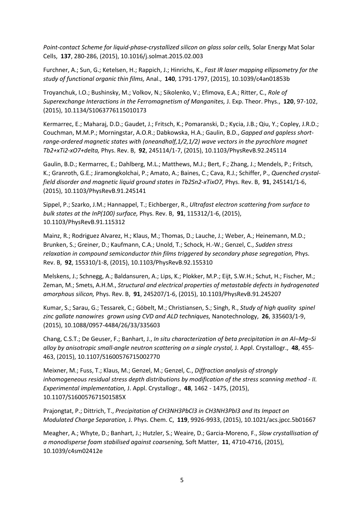Point-contact Scheme for liquid-phase-crystallized silicon on glass solar cells, Solar Energy Mat Solar Cells, **137**, 280-286, (2015), 10.1016/j.solmat.2015.02.003

Furchner, A.; Sun, G.; Ketelsen, H.; Rappich, J.; Hinrichs, K., *Fast IR laser mapping ellipsometry for the study of functional organic thin films,* Anal., **140**, 1791-1797, (2015), 10.1039/c4an01853b

Troyanchuk, I.O.; Bushinsky, M.; Volkov, N.; Sikolenko, V.; Efimova, E.A.; Ritter, C., *Role of Superexchange Interactions in the Ferromagnetism of Manganites,* J. Exp. Theor. Phys., **120**, 97-102, (2015), 10.1134/S1063776115010173

Kermarrec, E.; Maharaj, D.D.; Gaudet, J.; Fritsch, K.; Pomaranski, D.; Kycia, J.B.; Qiu, Y.; Copley, J.R.D.; Couchman, M.M.P.; Morningstar, A.O.R.; Dabkowska, H.A.; Gaulin, B.D., *Gapped and gapless shortrange-ordered magnetic states with (oneandhalf,1/2,1/2) wave vectors in the pyrochlore magnet Tb2+xTi2-xO7+delta,* Phys. Rev. B, **92**, 245114/1-7, (2015), 10.1103/PhysRevB.92.245114

Gaulin, B.D.; Kermarrec, E.; Dahlberg, M.L.; Matthews, M.J.; Bert, F.; Zhang, J.; Mendels, P.; Fritsch, K.; Granroth, G.E.; Jiramongkolchai, P.; Amato, A.; Baines, C.; Cava, R.J.; Schiffer, P., *Quenched crystalfield disorder and magnetic liquid ground states in Tb2Sn2-xTixO7,* Phys. Rev. B, **91**, 245141/1-6, (2015), 10.1103/PhysRevB.91.245141

Sippel, P.; Szarko, J.M.; Hannappel, T.; Eichberger, R., *Ultrafast electron scattering from surface to bulk states at the InP(100) surface,* Phys. Rev. B, **91**, 115312/1-6, (2015), 10.1103/PhysRevB.91.115312

Mainz, R.; Rodriguez Alvarez, H.; Klaus, M.; Thomas, D.; Lauche, J.; Weber, A.; Heinemann, M.D.; Brunken, S.; Greiner, D.; Kaufmann, C.A.; Unold, T.; Schock, H.-W.; Genzel, C., *Sudden stress relaxation in compound semiconductor thin films triggered by secondary phase segregation, Phys.* Rev. B, **92**, 155310/1-8, (2015), 10.1103/PhysRevB.92.155310

Melskens, J.; Schnegg, A.; Baldansuren, A.; Lips, K.; Plokker, M.P.; Eijt, S.W.H.; Schut, H.; Fischer, M.; Zeman, M.; Smets, A.H.M., *Structural and electrical properties of metastable defects in hydrogenated amorphous silicon,* Phys. Rev. B, **91**, 245207/1-6, (2015), 10.1103/PhysRevB.91.245207

Kumar, S.; Sarau, G.; Tessarek, C.; Göbelt, M.; Christiansen, S.; Singh, R., *Study of high quality spinel zinc gallate nanowires grown using CVD and ALD techniques,* Nanotechnology, **26**, 335603/1-9, (2015), 10.1088/0957-4484/26/33/335603

Chang, C.S.T.; De Geuser, F.; Banhart, J., *In situ characterization of beta precipitation in an Al–Mg–Si alloy by anisotropic small-angle neutron scattering on a single crystal,* J. Appl. Crystallogr., **48**, 455- 463, (2015), 10.1107/S1600576715002770

Meixner, M.; Fuss, T.; Klaus, M.; Genzel, M.; Genzel, C., *Diffraction analysis of strongly inhomogeneous residual stress depth distributions by modification of the stress scanning method - II. Experimental implementation,* J. Appl. Crystallogr., **48**, 1462 - 1475, (2015), 10.1107/S160057671501585X

Prajongtat, P.; Dittrich, T., *Precipitation of CH3NH3PbCl3 in CH3NH3PbI3 and Its Impact on Modulated Charge Separation,* J. Phys. Chem. C, **119**, 9926-9933, (2015), 10.1021/acs.jpcc.5b01667

Meagher, A.; Whyte, D.; Banhart, J.; Hutzler, S.; Weaire, D.; Garcia-Moreno, F., *Slow crystallisation of a monodisperse foam stabilised against coarsening,* Soft Matter, **11**, 4710-4716, (2015), 10.1039/c4sm02412e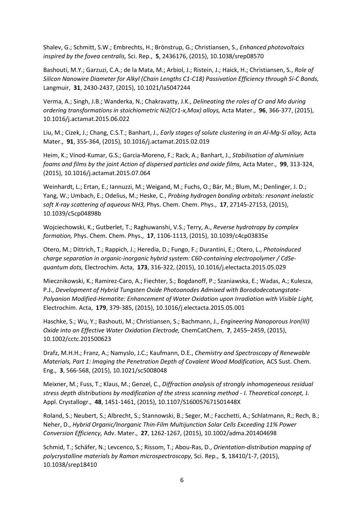Shalev, G.; Schmitt, S.W.; Embrechts, H.; Brönstrup, G.; Christiansen, S., *Enhanced photovoltaics inspired by the fovea centralis,* Sci. Rep., **5**, 2436176, (2015), 10.1038/srep08570

Bashouti, M.Y.; Garzuzi, C.A.; de la Mata, M.; Arbiol, J.; Ristein, J.; Haick, H.; Christiansen, S., *Role of Silicon Nanowire Diameter for Alkyl (Chain Lengths C1-C18) Passivation Efficiency through Si-C Bonds,*  Langmuir, **31**, 2430-2437, (2015), 10.1021/la5047244

Verma, A.; Singh, J.B.; Wanderka, N.; Chakravatty, J.K., *Delineating the roles of Cr and Mo during ordering transformations in stoichiometric Ni2(Cr1-x,Mox) alloys,* Acta Mater., **96**, 366-377, (2015), 10.1016/j.actamat.2015.06.022

Liu, M.; Cizek, J.; Chang, C.S.T.; Banhart, J., *Early stages of solute clustering in an Al-Mg-Si alloy,* Acta Mater., **91**, 355-364, (2015), 10.1016/j.actamat.2015.02.019

Heim, K.; Vinod-Kumar, G.S.; Garcia-Moreno, F.; Rack, A.; Banhart, J., *Stabilisation of aluminium foams and films by the joint Action of dispersed particles and oxide films,* Acta Mater., **99**, 313-324, (2015), 10.1016/j.actamat.2015.07.064

Weinhardt, L.; Ertan, E.; Iannuzzi, M.; Weigand, M.; Fuchs, O.; Bär, M.; Blum, M.; Denlinger, J. D.; Yang, W.; Umbach, E.; Odelius, M.; Heske, C., *Probing hydrogen bonding orbitals: resonant inelastic soft X-ray scattering of aqueous NH3,* Phys. Chem. Chem. Phys., **17**, 27145-27153, (2015), 10.1039/c5cp04898b

Wojciechowski, K.; Gutberlet, T.; Raghuwanshi, V.S.; Terry, A., *Reverse hydrotropy by complex formation,* Phys. Chem. Chem. Phys., **17**, 1106-1113, (2015), 10.1039/c4cp03835e

Otero, M.; Dittrich, T.; Rappich, J.; Heredia, D.; Fungo, F.; Durantini, E.; Otero, L., *Photoinduced charge separation in organic-inorganic hybrid system: C60-containing electropolymer / CdSequantum dots,* Electrochim. Acta, **173**, 316-322, (2015), 10.1016/j.electacta.2015.05.029

Miecznikowski, K.; Ramirez-Caro, A.; Fiechter, S.; Bogdanoff, P.; Szaniawska, E.; Wadas, A.; Kulesza, P.J., *Development of Hybrid Tungsten Oxide Photoanodes Admixed with Borododecatungstate-Polyanion Modified-Hematite: Enhancement of Water Oxidation upon Irradiation with Visible Light,*  Electrochim. Acta, **179**, 379-385, (2015), 10.1016/j.electacta.2015.05.001

Haschke, S.; Wu, Y.; Bashouti, M.; Christiansen, S.; Bachmann, J., *Engineering Nanoporous Iron(III) Oxide into an Effective Water Oxidation Electrode,* ChemCatChem, **7**, 2455–2459, (2015), 10.1002/cctc.201500623

Drafz, M.H.H.; Franz, A.; Namyslo, J.C.; Kaufmann, D.E., *Chemistry and Spectroscopy of Renewable Materials, Part 1: Imaging the Penetration Depth of Covalent Wood Modification, ACS Sust. Chem.* Eng., **3**, 566-568, (2015), 10.1021/sc5008048

Meixner, M.; Fuss, T.; Klaus, M.; Genzel, C., *Diffraction analysis of strongly inhomogeneous residual stress depth distributions by modification of the stress scanning method - I. Theoretical concept,* J. Appl. Crystallogr., **48**, 1451-1461, (2015), 10.1107/S160057671501448X

Roland, S.; Neubert, S.; Albrecht, S.; Stannowski, B.; Seger, M.; Facchetti, A.; Schlatmann, R.; Rech, B.; Neher, D., *Hybrid Organic/Inorganic Thin-Film Multijunction Solar Cells Exceeding 11% Power Conversion Efficiency,* Adv. Mater., **27**, 1262-1267, (2015), 10.1002/adma.201404698

Schmid, T.; Schäfer, N.; Levcenco, S.; Rissom, T.; Abou-Ras, D., *Orientation-distribution mapping of polycrystalline materials by Raman microspectroscopy,* Sci. Rep., **5**, 18410/1-7, (2015), 10.1038/srep18410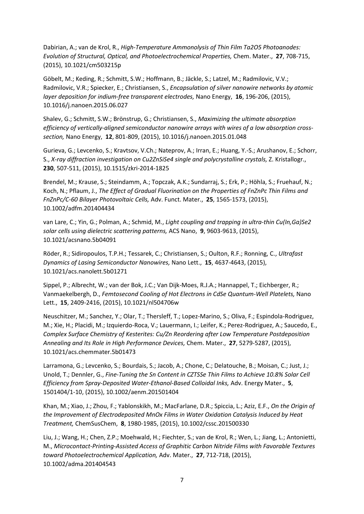Dabirian, A.; van de Krol, R., *High-Temperature Ammonolysis of Thin Film Ta2O5 Photoanodes: Evolution of Structural, Optical, and Photoelectrochemical Properties,* Chem. Mater., **27**, 708-715, (2015), 10.1021/cm503215p

Göbelt, M.; Keding, R.; Schmitt, S.W.; Hoffmann, B.; Jäckle, S.; Latzel, M.; Radmilovic, V.V.; Radmilovic, V.R.; Spiecker, E.; Christiansen, S., *Encapsulation of silver nanowire networks by atomic layer deposition for indium-free transparent electrodes,* Nano Energy, **16**, 196-206, (2015), 10.1016/j.nanoen.2015.06.027

Shalev, G.; Schmitt, S.W.; Brönstrup, G.; Christiansen, S., *Maximizing the ultimate absorption efficiency of vertically-aligned semiconductor nanowire arrays with wires of a low absorption crosssection,* Nano Energy, **12**, 801-809, (2015), 10.1016/j.nanoen.2015.01.048

Gurieva, G.; Levcenko, S.; Kravtsov, V.Ch.; Nateprov, A.; Irran, E.; Huang, Y.-S.; Arushanov, E.; Schorr, S., *X-ray diffraction investigation on Cu2ZnSiSe4 single and polycrystalline crystals,* Z. Kristallogr., **230**, 507-511, (2015), 10.1515/zkri-2014-1825

Brendel, M.; Krause, S.; Steindamm, A.; Topczak, A.K.; Sundarraj, S.; Erk, P.; Höhla, S.; Fruehauf, N.; Koch, N.; Pflaum, J., *The Effect of Gradual Fluorination on the Properties of FnZnPc Thin Films and FnZnPc/C-60 Bilayer Photovoltaic Cells,* Adv. Funct. Mater., **25**, 1565-1573, (2015), 10.1002/adfm.201404434

van Lare, C.; Yin, G.; Polman, A.; Schmid, M., *Light coupling and trapping in ultra-thin Cu(In,Ga)Se2 solar cells using dielectric scattering patterns,* ACS Nano, **9**, 9603-9613, (2015), 10.1021/acsnano.5b04091

Röder, R.; Sidiropoulos, T.P.H.; Tessarek, C.; Christiansen, S.; Oulton, R.F.; Ronning, C., *Ultrafast Dynamics of Lasing Semiconductor Nanowires,* Nano Lett., **15**, 4637-4643, (2015), 10.1021/acs.nanolett.5b01271

Sippel, P.; Albrecht, W.; van der Bok, J.C.; Van Dijk-Moes, R.J.A.; Hannappel, T.; Eichberger, R.; Vanmaekelbergh, D., *Femtosecond Cooling of Hot Electrons in CdSe Quantum-Well Platelets,* Nano Lett., **15**, 2409-2416, (2015), 10.1021/nl504706w

Neuschitzer, M.; Sanchez, Y.; Olar, T.; Thersleff, T.; Lopez-Marino, S.; Oliva, F.; Espindola-Rodriguez, M.; Xie, H.; Placidi, M.; Izquierdo-Roca, V.; Lauermann, I.; Leifer, K.; Perez-Rodriguez, A.; Saucedo, E., *Complex Surface Chemistry of Kesterites: Cu/Zn Reordering after Low Temperature Postdeposition Annealing and Its Role in High Performance Devices,* Chem. Mater., **27**, 5279-5287, (2015), 10.1021/acs.chemmater.5b01473

Larramona, G.; Levcenko, S.; Bourdais, S.; Jacob, A.; Chone, C.; Delatouche, B.; Moisan, C.; Just, J.; Unold, T.; Dennler, G., *Fine-Tuning the Sn Content in CZTSSe Thin Films to Achieve 10.8% Solar Cell Efficiency from Spray-Deposited Water-Ethanol-Based Colloidal Inks,* Adv. Energy Mater., **5**, 1501404/1-10, (2015), 10.1002/aenm.201501404

Khan, M.; Xiao, J.; Zhou, F.; Yablonskikh, M.; MacFarlane, D.R.; Spiccia, L.; Aziz, E.F., *On the Origin of the Improvement of Electrodeposited MnOx Films in Water Oxidation Catalysis Induced by Heat Treatment,* ChemSusChem, **8**, 1980-1985, (2015), 10.1002/cssc.201500330

Liu, J.; Wang, H.; Chen, Z.P.; Moehwald, H.; Fiechter, S.; van de Krol, R.; Wen, L.; Jiang, L.; Antonietti, M., *Microcontact-Printing-Assisted Access of Graphitic Carbon Nitride Films with Favorable Textures toward Photoelectrochemical Application,* Adv. Mater., **27**, 712-718, (2015), 10.1002/adma.201404543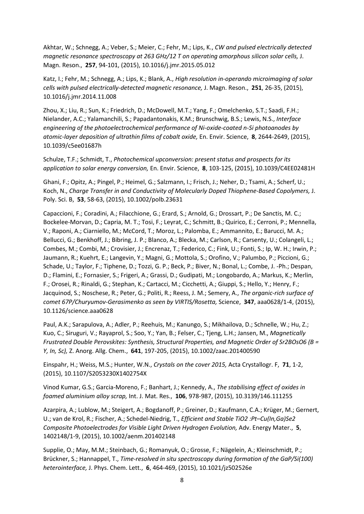Akhtar, W.; Schnegg, A.; Veber, S.; Meier, C.; Fehr, M.; Lips, K., *CW and pulsed electrically detected magnetic resonance spectroscopy at 263 GHz/12 T on operating amorphous silicon solar cells,* J. Magn. Reson., **257**, 94-101, (2015), 10.1016/j.jmr.2015.05.012

Katz, I.; Fehr, M.; Schnegg, A.; Lips, K.; Blank, A., *High resolution in-operando microimaging of solar cells with pulsed electrically-detected magnetic resonance,* J. Magn. Reson., **251**, 26-35, (2015), 10.1016/j.jmr.2014.11.008

Zhou, X.; Liu, R.; Sun, K.; Friedrich, D.; McDowell, M.T.; Yang, F.; Omelchenko, S.T.; Saadi, F.H.; Nielander, A.C.; Yalamanchili, S.; Papadantonakis, K.M.; Brunschwig, B.S.; Lewis, N.S., *Interface engineering of the photoelectrochemical performance of Ni-oxide-coated n-Si photoanodes by atomic-layer deposition of ultrathin films of cobalt oxide,* En. Envir. Science, **8**, 2644-2649, (2015), 10.1039/c5ee01687h

Schulze, T.F.; Schmidt, T., *Photochemical upconversion: present status and prospects for its application to solar energy conversion,* En. Envir. Science, **8**, 103-125, (2015), 10.1039/C4EE02481H

Ghani, F.; Opitz, A.; Pingel, P.; Heimel, G.; Salzmann, I.; Frisch, J.; Neher, D.; Tsami, A.; Scherf, U.; Koch, N., *Charge Transfer in and Conductivity of Molecularly Doped Thiophene-Based Copolymers,* J. Poly. Sci. B, **53**, 58-63, (2015), 10.1002/polb.23631

Capaccioni, F.; Coradini, A.; Filacchione, G.; Erard, S.; Arnold, G.; Drossart, P.; De Sanctis, M. C.; Bockelee-Morvan, D.; Capria, M. T.; Tosi, F.; Leyrat, C.; Schmitt, B.; Quirico, E.; Cerroni, P.; Mennella, V.; Raponi, A.; Ciarniello, M.; McCord, T.; Moroz, L.; Palomba, E.; Ammannito, E.; Barucci, M. A.; Bellucci, G.; Benkhoff, J.; Bibring, J. P.; Blanco, A.; Blecka, M.; Carlson, R.; Carsenty, U.; Colangeli, L.; Combes, M.; Combi, M.; Crovisier, J.; Encrenaz, T.; Federico, C.; Fink, U.; Fonti, S.; Ip, W. H.; Irwin, P.; Jaumann, R.; Kuehrt, E.; Langevin, Y.; Magni, G.; Mottola, S.; Orofino, V.; Palumbo, P.; Piccioni, G.; Schade, U.; Taylor, F.; Tiphene, D.; Tozzi, G. P.; Beck, P.; Biver, N.; Bonal, L.; Combe, J. -Ph.; Despan, D.; Flamini, E.; Fornasier, S.; Frigeri, A.; Grassi, D.; Gudipati, M.; Longobardo, A.; Markus, K.; Merlin, F.; Orosei, R.; Rinaldi, G.; Stephan, K.; Cartacci, M.; Cicchetti, A.; Giuppi, S.; Hello, Y.; Henry, F.; Jacquinod, S.; Noschese, R.; Peter, G.; Politi, R.; Reess, J. M.; Semery, A., *The organic-rich surface of comet 67P/Churyumov-Gerasimenko as seen by VIRTIS/Rosetta,* Science, **347**, aaa0628/1-4, (2015), 10.1126/science.aaa0628

Paul, A.K.; Sarapulova, A.; Adler, P.; Reehuis, M.; Kanungo, S.; Mikhailova, D.; Schnelle, W.; Hu, Z.; Kuo, C.; Siruguri, V.; Rayaprol, S.; Soo, Y.; Yan, B.; Felser, C.; Tjeng, L.H.; Jansen, M., *Magnetically Frustrated Double Perovskites: Synthesis, Structural Properties, and Magnetic Order of Sr2BOsO6 (B = Y, In, Sc),* Z. Anorg. Allg. Chem., **641**, 197-205, (2015), 10.1002/zaac.201400590

Einspahr, H.; Weiss, M.S.; Hunter, W.N., *Crystals on the cover 2015,* Acta Crystallogr. F, **71**, 1-2, (2015), 10.1107/S2053230X1402754X

Vinod Kumar, G.S.; Garcia-Moreno, F.; Banhart, J.; Kennedy, A., *The stabilising effect of oxides in foamed aluminium alloy scrap,* Int. J. Mat. Res., **106**, 978-987, (2015), 10.3139/146.111255

Azarpira, A.; Lublow, M.; Steigert, A.; Bogdanoff, P.; Greiner, D.; Kaufmann, C.A.; Krüger, M.; Gernert, U.; van de Krol, R.; Fischer, A.; Schedel-Niedrig, T., *Efficient and Stable TiO2 :Pt–Cu(In,Ga)Se2 Composite Photoelectrodes for Visible Light Driven Hydrogen Evolution,* Adv. Energy Mater., **5**, 1402148/1-9, (2015), 10.1002/aenm.201402148

Supplie, O.; May, M.M.; Steinbach, G.; Romanyuk, O.; Grosse, F.; Nägelein, A.; Kleinschmidt, P.; Brückner, S.; Hannappel, T., *Time-resolved in situ spectroscopy during formation of the GaP/Si(100) heterointerface,* J. Phys. Chem. Lett., **6**, 464-469, (2015), 10.1021/jz502526e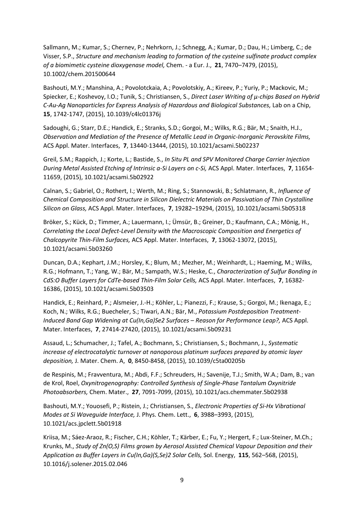Sallmann, M.; Kumar, S.; Chernev, P.; Nehrkorn, J.; Schnegg, A.; Kumar, D.; Dau, H.; Limberg, C.; de Visser, S.P., *Structure and mechanism leading to formation of the cysteine sulfinate product complex of a biomimetic cysteine dioxygenase model,* Chem. - a Eur. J., **21**, 7470–7479, (2015), 10.1002/chem.201500644

Bashouti, M.Y.; Manshina, A.; Povolotckaia, A.; Povolotskiy, A.; Kireev, P.; Yuriy, P.; Mackovic, M.; Spiecker, E.; Koshevoy, I.O.; Tunik, S.; Christiansen, S., *Direct Laser Writing of µ-chips Based on Hybrid C-Au-Ag Nanoparticles for Express Analysis of Hazardous and Biological Substances, Lab on a Chip,* **15**, 1742-1747, (2015), 10.1039/c4lc01376j

Sadoughi, G.; Starr, D.E.; Handick, E.; Stranks, S.D.; Gorgoi, M.; Wilks, R.G.; Bär, M.; Snaith, H.J., *Observation and Mediation of the Presence of Metallic Lead in Organic-Inorganic Perovskite Films,*  ACS Appl. Mater. Interfaces, **7**, 13440-13444, (2015), 10.1021/acsami.5b02237

Greil, S.M.; Rappich, J.; Korte, L.; Bastide, S., *In Situ PL and SPV Monitored Charge Carrier Injection During Metal Assisted Etching of Intrinsic a-Si Layers on c-Si,* ACS Appl. Mater. Interfaces, **7**, 11654- 11659, (2015), 10.1021/acsami.5b02922

Calnan, S.; Gabriel, O.; Rothert, I.; Werth, M.; Ring, S.; Stannowski, B.; Schlatmann, R., *Influence of Chemical Composition and Structure in Silicon Dielectric Materials on Passivation of Thin Crystalline Silicon on Glass,* ACS Appl. Mater. Interfaces, **7**, 19282–19294, (2015), 10.1021/acsami.5b05318

Bröker, S.; Kück, D.; Timmer, A.; Lauermann, I.; Ümsür, B.; Greiner, D.; Kaufmann, C.A.; Mönig, H., *Correlating the Local Defect-Level Density with the Macroscopic Composition and Energetics of Chalcopyrite Thin-Film Surfaces,* ACS Appl. Mater. Interfaces, **7**, 13062-13072, (2015), 10.1021/acsami.5b03260

Duncan, D.A.; Kephart, J.M.; Horsley, K.; Blum, M.; Mezher, M.; Weinhardt, L.; Haeming, M.; Wilks, R.G.; Hofmann, T.; Yang, W.; Bär, M.; Sampath, W.S.; Heske, C., *Characterization of Sulfur Bonding in CdS:O Buffer Layers for CdTe-based Thin-Film Solar Cells,* ACS Appl. Mater. Interfaces, **7**, 16382- 16386, (2015), 10.1021/acsami.5b03503

Handick, E.; Reinhard, P.; Alsmeier, J.-H.; Köhler, L.; Pianezzi, F.; Krause, S.; Gorgoi, M.; Ikenaga, E.; Koch, N.; Wilks, R.G.; Buecheler, S.; Tiwari, A.N.; Bär, M., *Potassium Postdeposition Treatment-Induced Band Gap Widening at Cu(In,Ga)Se2 Surfaces – Reason for Performance Leap?,* ACS Appl. Mater. Interfaces, **7**, 27414-27420, (2015), 10.1021/acsami.5b09231

Assaud, L.; Schumacher, J.; Tafel, A.; Bochmann, S.; Christiansen, S.; Bochmann, J., *Systematic increase of electrocatalytic turnover at nanoporous platinum surfaces prepared by atomic layer deposition,* J. Mater. Chem. A, **0**, 8450-8458, (2015), 10.1039/c5ta00205b

de Respinis, M.; Fravventura, M.; Abdi, F.F.; Schreuders, H.; Savenije, T.J.; Smith, W.A.; Dam, B.; van de Krol, Roel, *Oxynitrogenography: Controlled Synthesis of Single-Phase Tantalum Oxynitride Photoabsorbers,* Chem. Mater., **27**, 7091-7099, (2015), 10.1021/acs.chemmater.5b02938

Bashouti, M.Y.; Youosefi, P.; Ristein, J.; Christiansen, S., *Electronic Properties of Si-Hx Vibrational Modes at Si Waveguide Interface,* J. Phys. Chem. Lett., **6**, 3988–3993, (2015), 10.1021/acs.jpclett.5b01918

Kriisa, M.; Sáez-Araoz, R.; Fischer, C.H.; Köhler, T.; Kärber, E.; Fu, Y.; Hergert, F.; Lux-Steiner, M.Ch.; Krunks, M., *Study of Zn(O,S) Films grown by Aerosol Assisted Chemical Vapour Deposition and their Application as Buffer Layers in Cu(In,Ga)(S,Se)2 Solar Cells,* Sol. Energy, **115**, 562–568, (2015), 10.1016/j.solener.2015.02.046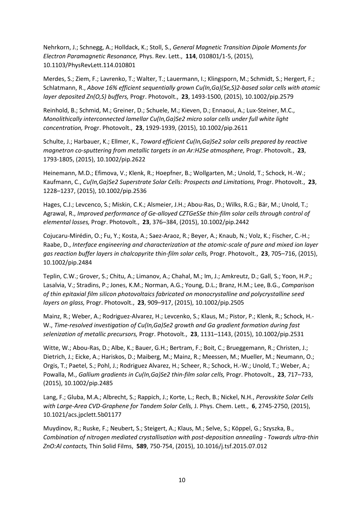Nehrkorn, J.; Schnegg, A.; Holldack, K.; Stoll, S., *General Magnetic Transition Dipole Moments for Electron Paramagnetic Resonance,* Phys. Rev. Lett., **114**, 010801/1-5, (2015), 10.1103/PhysRevLett.114.010801

Merdes, S.; Ziem, F.; Lavrenko, T.; Walter, T.; Lauermann, I.; Klingsporn, M.; Schmidt, S.; Hergert, F.; Schlatmann, R., *Above 16% efficient sequentially grown Cu(In,Ga)(Se,S)2-based solar cells with atomic layer deposited Zn(O,S) buffers,* Progr. Photovolt., **23**, 1493-1500, (2015), 10.1002/pip.2579

Reinhold, B.; Schmid, M.; Greiner, D.; Schuele, M.; Kieven, D.; Ennaoui, A.; Lux-Steiner, M.C., *Monolithically interconnected lamellar Cu(In,Ga)Se2 micro solar cells under full white light concentration,* Progr. Photovolt., **23**, 1929-1939, (2015), 10.1002/pip.2611

Schulte, J.; Harbauer, K.; Ellmer, K., *Toward efficient Cu(In,Ga)Se2 solar cells prepared by reactive magnetron co-sputtering from metallic targets in an Ar:H2Se atmosphere, Progr. Photovolt.*, 23, 1793-1805, (2015), 10.1002/pip.2622

Heinemann, M.D.; Efimova, V.; Klenk, R.; Hoepfner, B.; Wollgarten, M.; Unold, T.; Schock, H.-W.; Kaufmann, C., *Cu(In,Ga)Se2 Superstrate Solar Cells: Prospects and Limitations,* Progr. Photovolt., **23**, 1228–1237, (2015), 10.1002/pip.2536

Hages, C.J.; Levcenco, S.; Miskin, C.K.; Alsmeier, J.H.; Abou-Ras, D.; Wilks, R.G.; Bär, M.; Unold, T.; Agrawal, R., *Improved performance of Ge-alloyed CZTGeSSe thin-film solar cells through control of elemental losses,* Progr. Photovolt., **23**, 376–384, (2015), 10.1002/pip.2442

Cojucaru-Mirédin, O.; Fu, Y.; Kosta, A.; Saez-Araoz, R.; Beyer, A.; Knaub, N.; Volz, K.; Fischer, C.-H.; Raabe, D., *Interface engineering and characterization at the atomic-scale of pure and mixed ion layer gas reaction buffer layers in chalcopyrite thin-film solar cells,* Progr. Photovolt., **23**, 705–716, (2015), 10.1002/pip.2484

Teplin, C.W.; Grover, S.; Chitu, A.; Limanov, A.; Chahal, M.; Im, J.; Amkreutz, D.; Gall, S.; Yoon, H.P.; Lasalvia, V.; Stradins, P.; Jones, K.M.; Norman, A.G.; Young, D.L.; Branz, H.M.; Lee, B.G., *Comparison of thin epitaxial film silicon photovoltaics fabricated on monocrystalline and polycrystalline seed layers on glass,* Progr. Photovolt., **23**, 909–917, (2015), 10.1002/pip.2505

Mainz, R.; Weber, A.; Rodriguez-Alvarez, H.; Levcenko, S.; Klaus, M.; Pistor, P.; Klenk, R.; Schock, H.- W., *Time-resolved investigation of Cu(In,Ga)Se2 growth and Ga gradient formation during fast selenization of metallic precursors,* Progr. Photovolt., **23**, 1131–1143, (2015), 10.1002/pip.2531

Witte, W.; Abou-Ras, D.; Albe, K.; Bauer, G.H.; Bertram, F.; Boit, C.; Brueggemann, R.; Christen, J.; Dietrich, J.; Eicke, A.; Hariskos, D.; Maiberg, M.; Mainz, R.; Meessen, M.; Mueller, M.; Neumann, O.; Orgis, T.; Paetel, S.; Pohl, J.; Rodriguez Alvarez, H.; Scheer, R.; Schock, H.-W.; Unold, T.; Weber, A.; Powalla, M., *Gallium gradients in Cu(In,Ga)Se2 thin-film solar cells,* Progr. Photovolt., **23**, 717–733, (2015), 10.1002/pip.2485

Lang, F.; Gluba, M.A.; Albrecht, S.; Rappich, J.; Korte, L.; Rech, B.; Nickel, N.H., *Perovskite Solar Cells with Large-Area CVD-Graphene for Tandem Solar Cells,* J. Phys. Chem. Lett., **6**, 2745-2750, (2015), 10.1021/acs.jpclett.5b01177

Muydinov, R.; Ruske, F.; Neubert, S.; Steigert, A.; Klaus, M.; Selve, S.; Köppel, G.; Szyszka, B., *Combination of nitrogen mediated crystallisation with post-deposition annealing - Towards ultra-thin ZnO:Al contacts,* Thin Solid Films, **589**, 750-754, (2015), 10.1016/j.tsf.2015.07.012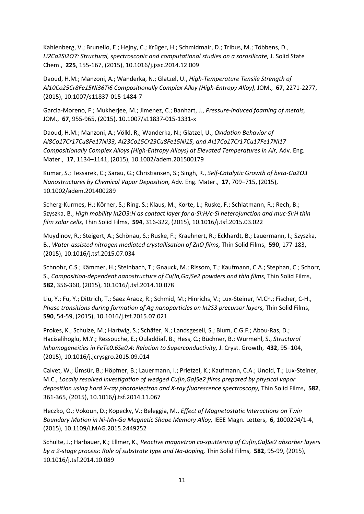Kahlenberg, V.; Brunello, E.; Hejny, C.; Krüger, H.; Schmidmair, D.; Tribus, M.; Többens, D., Li2Ca2Si2O7: Structural, spectroscopic and computational studies on a sorosilicate, J. Solid State Chem., **225**, 155-167, (2015), 10.1016/j.jssc.2014.12.009

Daoud, H.M.; Manzoni, A.; Wanderka, N.; Glatzel, U., *High-Temperature Tensile Strength of Al10Co25Cr8Fe15Ni36Ti6 Compositionally Complex Alloy (High-Entropy Alloy),* JOM., **67**, 2271-2277, (2015), 10.1007/s11837-015-1484-7

Garcia-Moreno, F.; Mukherjee, M.; Jimenez, C.; Banhart, J., *Pressure-induced foaming of metals,*  JOM., **67**, 955-965, (2015), 10.1007/s11837-015-1331-x

Daoud, H.M.; Manzoni, A.; Völkl, R,; Wanderka, N.; Glatzel, U., *Oxidation Behavior of Al8Co17Cr17Cu8Fe17Ni33, Al23Co15Cr23Cu8Fe15Ni15, and Al17Co17Cr17Cu17Fe17Ni17 Compositionally Complex Alloys (High-Entropy Alloys) at Elevated Temperatures in Air,* Adv. Eng. Mater., **17**, 1134–1141, (2015), 10.1002/adem.201500179

Kumar, S.; Tessarek, C.; Sarau, G.; Christiansen, S.; Singh, R., *Self-Catalytic Growth of beta-Ga2O3 Nanostructures by Chemical Vapor Deposition,* Adv. Eng. Mater., **17**, 709–715, (2015), 10.1002/adem.201400289

Scherg-Kurmes, H.; Körner, S.; Ring, S.; Klaus, M.; Korte, L.; Ruske, F.; Schlatmann, R.; Rech, B.; Szyszka, B., *High mobility In2O3:H as contact layer for a-Si:H/c-Si heterojunction and muc-Si:H thin film solar cells,* Thin Solid Films, **594**, 316-322, (2015), 10.1016/j.tsf.2015.03.022

Muydinov, R.; Steigert, A.; Schönau, S.; Ruske, F.; Kraehnert, R.; Eckhardt, B.; Lauermann, I.; Szyszka, B., *Water-assisted nitrogen mediated crystallisation of ZnO films,* Thin Solid Films, **590**, 177-183, (2015), 10.1016/j.tsf.2015.07.034

Schnohr, C.S.; Kämmer, H.; Steinbach, T.; Gnauck, M.; Rissom, T.; Kaufmann, C.A.; Stephan, C.; Schorr, S., *Composition-dependent nanostructure of Cu(In,Ga)Se2 powders and thin films,* Thin Solid Films, **582**, 356-360, (2015), 10.1016/j.tsf.2014.10.078

Liu, Y.; Fu, Y.; Dittrich, T.; Saez Araoz, R.; Schmid, M.; Hinrichs, V.; Lux-Steiner, M.Ch.; Fischer, C-H., *Phase transitions during formation of Ag nanoparticles on In2S3 precursor layers,* Thin Solid Films, **590**, 54-59, (2015), 10.1016/j.tsf.2015.07.021

Prokes, K.; Schulze, M.; Hartwig, S.; Schäfer, N.; Landsgesell, S.; Blum, C.G.F.; Abou-Ras, D.; Hacisalihoglu, M.Y.; Ressouche, E.; Ouladdiaf, B.; Hess, C.; Büchner, B.; Wurmehl, S., *Structural Inhomogeneities in FeTe0.6Se0.4: Relation to Superconductivity,* J. Cryst. Growth, **432**, 95–104, (2015), 10.1016/j.jcrysgro.2015.09.014

Calvet, W.; Ümsür, B.; Höpfner, B.; Lauermann, I.; Prietzel, K.; Kaufmann, C.A.; Unold, T.; Lux-Steiner, M.C., *Locally resolved investigation of wedged Cu(In,Ga)Se2 films prepared by physical vapor deposition using hard X-ray photoelectron and X-ray fluorescence spectroscopy,* Thin Solid Films, **582**, 361-365, (2015), 10.1016/j.tsf.2014.11.067

Heczko, O.; Vokoun, D.; Kopecky, V.; Beleggia, M., *Effect of Magnetostatic Interactions on Twin Boundary Motion in Ni-Mn-Ga Magnetic Shape Memory Alloy,* IEEE Magn. Letters, **6**, 1000204/1-4, (2015), 10.1109/LMAG.2015.2449252

Schulte, J.; Harbauer, K.; Ellmer, K., *Reactive magnetron co-sputtering of Cu(In,Ga)Se2 absorber layers by a 2-stage process: Role of substrate type and Na-doping,* Thin Solid Films, **582**, 95-99, (2015), 10.1016/j.tsf.2014.10.089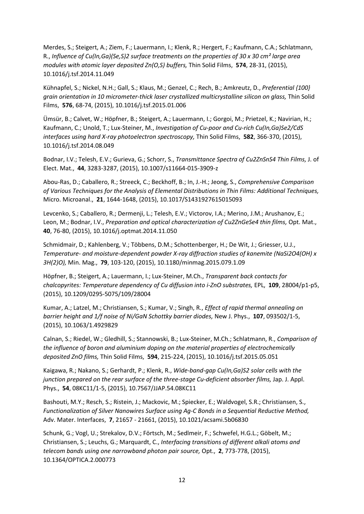Merdes, S.; Steigert, A.; Ziem, F.; Lauermann, I.; Klenk, R.; Hergert, F.; Kaufmann, C.A.; Schlatmann, R., *Influence of Cu(In,Ga)(Se,S)2 surface treatments on the properties of 30 x 30 cm² large area modules with atomic layer deposited Zn(O,S) buffers,* Thin Solid Films, **574**, 28-31, (2015), 10.1016/j.tsf.2014.11.049

Kühnapfel, S.; Nickel, N.H.; Gall, S.; Klaus, M.; Genzel, C.; Rech, B.; Amkreutz, D., *Preferential {100} grain orientation in 10 micrometer-thick laser crystallized multicrystalline silicon on glass,* Thin Solid Films, **576**, 68-74, (2015), 10.1016/j.tsf.2015.01.006

Ümsür, B.; Calvet, W.; Höpfner, B.; Steigert, A.; Lauermann, I.; Gorgoi, M.; Prietzel, K.; Navirian, H.; Kaufmann, C.; Unold, T.; Lux-Steiner, M., *Investigation of Cu-poor and Cu-rich Cu(In,Ga)Se2/CdS interfaces using hard X-ray photoelectron spectroscopy,* Thin Solid Films, **582**, 366-370, (2015), 10.1016/j.tsf.2014.08.049

Bodnar, I.V.; Telesh, E.V.; Gurieva, G.; Schorr, S., *Transmittance Spectra of Cu2ZnSnS4 Thin Films,* J. of Elect. Mat., **44**, 3283-3287, (2015), 10.1007/s11664-015-3909-z

Abou-Ras, D.; Caballero, R.; Streeck, C.; Beckhoff, B.; In, J.-H.; Jeong, S., *Comprehensive Comparison of Various Techniques for the Analysis of Elemental Distributions in Thin Films: Additional Techniques,*  Micro. Microanal., **21**, 1644-1648, (2015), 10.1017/S1431927615015093

Levcenko, S.; Caballero, R.; Dermenji, L.; Telesh, E.V.; Victorov, I.A.; Merino, J.M.; Arushanov, E.; Leon, M.; Bodnar, I.V., *Preparation and optical characterization of Cu2ZnGeSe4 thin films, Opt. Mat.*, **40**, 76-80, (2015), 10.1016/j.optmat.2014.11.050

Schmidmair, D.; Kahlenberg, V.; Többens, D.M.; Schottenberger, H.; De Wit, J.; Griesser, U.J., *Temperature- and moisture-dependent powder X-ray diffraction studies of kanemite (NaSi2O4(OH) x 3H(2)O),* Min. Mag., **79**, 103-120, (2015), 10.1180/minmag.2015.079.1.09

Höpfner, B.; Steigert, A.; Lauermann, I.; Lux-Steiner, M.Ch., *Transparent back contacts for chalcopyrites: Temperature dependency of Cu diffusion into i-ZnO substrates,* EPL, **109**, 28004/p1-p5, (2015), 10.1209/0295-5075/109/28004

Kumar, A.; Latzel, M.; Christiansen, S.; Kumar, V.; Singh, R., *Effect of rapid thermal annealing on barrier height and 1/f noise of Ni/GaN Schottky barrier diodes,* New J. Phys., **107**, 093502/1-5, (2015), 10.1063/1.4929829

Calnan, S.; Riedel, W.; Gledhill, S.; Stannowski, B.; Lux-Steiner, M.Ch.; Schlatmann, R., *Comparison of the influence of boron and aluminium doping on the material properties of electrochemically deposited ZnO films,* Thin Solid Films, **594**, 215-224, (2015), 10.1016/j.tsf.2015.05.051

Kaigawa, R.; Nakano, S.; Gerhardt, P.; Klenk, R., *Wide-band-gap Cu(In,Ga)S2 solar cells with the junction prepared on the rear surface of the three-stage Cu-deficient absorber films, Jap. J. Appl.* Phys., **54**, 08KC11/1-5, (2015), 10.7567/JJAP.54.08KC11

Bashouti, M.Y.; Resch, S.; Ristein, J.; Mackovic, M.; Spiecker, E.; Waldvogel, S.R.; Christiansen, S., *Functionalization of Silver Nanowires Surface using Ag-C Bonds in a Sequential Reductive Method,*  Adv. Mater. Interfaces, **7**, 21657 - 21661, (2015), 10.1021/acsami.5b06830

Schunk, G.; Vogl, U.; Strekalov, D.V.; Förtsch, M.; Sedlmeir, F.; Schwefel, H.G.L.; Göbelt, M.; Christiansen, S.; Leuchs, G.; Marquardt, C., *Interfacing transitions of different alkali atoms and telecom bands using one narrowband photon pair source,* Opt., **2**, 773-778, (2015), 10.1364/OPTICA.2.000773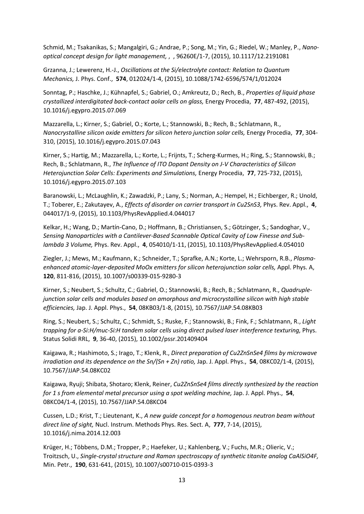Schmid, M.; Tsakanikas, S.; Mangalgiri, G.; Andrae, P.; Song, M.; Yin, G.; Riedel, W.; Manley, P., *Nanooptical concept design for light management,* , , 96260E/1-7, (2015), 10.1117/12.2191081

Grzanna, J.; Lewerenz, H.-J., *Oscillations at the Si/electrolyte contact: Relation to Quantum Mechanics,* J. Phys. Conf., **574**, 012024/1-4, (2015), 10.1088/1742-6596/574/1/012024

Sonntag, P.; Haschke, J.; Kühnapfel, S.; Gabriel, O.; Amkreutz, D.; Rech, B., *Properties of liquid phase crystallized interdigitated back-contact aolar cells on glass,* Energy Procedia, **77**, 487-492, (2015), 10.1016/j.egypro.2015.07.069

Mazzarella, L.; Kirner, S.; Gabriel, O.; Korte, L.; Stannowski, B.; Rech, B.; Schlatmann, R., *Nanocrystalline silicon oxide emitters for silicon hetero junction solar cells,* Energy Procedia, **77**, 304- 310, (2015), 10.1016/j.egypro.2015.07.043

Kirner, S.; Hartig, M.; Mazzarella, L.; Korte, L.; Frijnts, T.; Scherg-Kurmes, H.; Ring, S.; Stannowski, B.; Rech, B.; Schlatmann, R., *The Influence of ITO Dopant Density on J-V Characteristics of Silicon Heterojunction Solar Cells: Experiments and Simulations,* Energy Procedia, **77**, 725-732, (2015), 10.1016/j.egypro.2015.07.103

Baranowski, L.; McLaughlin, K.; Zawadzki, P.; Lany, S.; Norman, A.; Hempel, H.; Eichberger, R.; Unold, T.; Toberer, E.; Zakutayev, A., *Effects of disorder on carrier transport in Cu2SnS3,* Phys. Rev. Appl., **4**, 044017/1-9, (2015), 10.1103/PhysRevApplied.4.044017

Kelkar, H.; Wang, D.; Martín-Cano, D.; Hoffmann, B.; Christiansen, S.; Götzinger, S.; Sandoghar, V., *Sensing Nanoparticles with a Cantilever-Based Scannable Optical Cavity of Low Finesse and Sublambda 3 Volume,* Phys. Rev. Appl., **4**, 054010/1-11, (2015), 10.1103/PhysRevApplied.4.054010

Ziegler, J.; Mews, M.; Kaufmann, K.; Schneider, T.; Sprafke, A.N.; Korte, L.; Wehrsporn, R.B., *Plasmaenhanced atomic-layer-deposited MoOx emitters for silicon heterojunction solar cells, Appl. Phys. A,* **120**, 811-816, (2015), 10.1007/s00339-015-9280-3

Kirner, S.; Neubert, S.; Schultz, C.; Gabriel, O.; Stannowski, B.; Rech, B.; Schlatmann, R., *Quadruplejunction solar cells and modules based on amorphous and microcrystalline silicon with high stable efficiencies,* Jap. J. Appl. Phys., **54**, 08KB03/1-8, (2015), 10.7567/JJAP.54.08KB03

Ring, S.; Neubert, S.; Schultz, C.; Schmidt, S.; Ruske, F.; Stannowski, B.; Fink, F.; Schlatmann, R., *Light trapping for a-Si:H/muc-Si:H tandem solar cells using direct pulsed laser interference texturing,* Phys. Status Solidi RRL, **9**, 36-40, (2015), 10.1002/pssr.201409404

Kaigawa, R.; Hashimoto, S.; Irago, T.; Klenk, R., *Direct preparation of Cu2ZnSnSe4 films by microwave irradiation and its dependence on the Sn/(Sn + Zn) ratio,* Jap. J. Appl. Phys., **54**, 08KC02/1-4, (2015), 10.7567/JJAP.54.08KC02

Kaigawa, Ryuji; Shibata, Shotaro; Klenk, Reiner, *Cu2ZnSnSe4 films directly synthesized by the reaction for 1 s from elemental metal precursor using a spot welding machine,* Jap. J. Appl. Phys., **54**, 08KC04/1-4, (2015), 10.7567/JJAP.54.08KC04

Cussen, L.D.; Krist, T.; Lieutenant, K., *A new guide concept for a homogenous neutron beam without direct line of sight,* Nucl. Instrum. Methods Phys. Res. Sect. A, **777**, 7-14, (2015), 10.1016/j.nima.2014.12.003

Krüger, H.; Többens, D.M.; Tropper, P.; Haefeker, U.; Kahlenberg, V.; Fuchs, M.R.; Olieric, V.; Troitzsch, U., *Single-crystal structure and Raman spectroscopy of synthetic titanite analog CaAlSiO4F,*  Min. Petr., **190**, 631-641, (2015), 10.1007/s00710-015-0393-3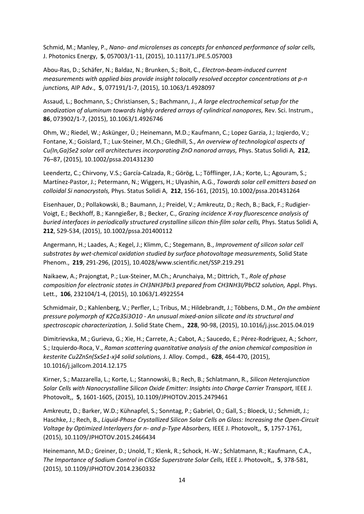Schmid, M.; Manley, P., *Nano- and microlenses as concepts for enhanced performance of solar cells,*  J. Photonics Energy, **5**, 057003/1-11, (2015), 10.1117/1.JPE.5.057003

Abou-Ras, D.; Schäfer, N.; Baldaz, N.; Brunken, S.; Boit, C., *Electron-beam-induced current measurements with applied bias provide insight tolocally resolved acceptor concentrations at p-n junctions,* AIP Adv., **5**, 077191/1-7, (2015), 10.1063/1.4928097

Assaud, L.; Bochmann, S.; Christiansen, S.; Bachmann, J., *A large electrochemical setup for the anodization of aluminum towards highly ordered arrays of cylindrical nanopores,* Rev. Sci. Instrum., **86**, 073902/1-7, (2015), 10.1063/1.4926746

Ohm, W.; Riedel, W.; Askünger, Ü.; Heinemann, M.D.; Kaufmann, C.; Lopez Garzia, J.; Izqierdo, V.; Fontane, X.; Goislard, T.; Lux-Steiner, M.Ch.; Gledhill, S., *An overview of technological aspects of Cu(In,Ga)Se2 solar cell architectures incorporating ZnO nanorod arrays,* Phys. Status Solidi A, **212**, 76–87, (2015), 10.1002/pssa.201431230

Leendertz, C.; Chirvony, V.S.; García-Calzada, R.; Görög, L.; Töfflinger, J.A.; Korte, L.; Agouram, S.; Martínez-Pastor, J.; Petermann, N.; Wiggers, H.; Ulyashin, A.G., *Towards solar cell emitters based on colloidal Si nanocrystals,* Phys. Status Solidi A, **212**, 156-161, (2015), 10.1002/pssa.201431264

Eisenhauer, D.; Pollakowski, B.; Baumann, J.; Preidel, V.; Amkreutz, D.; Rech, B.; Back, F.; Rudigier-Voigt, E.; Beckhoff, B.; Kanngießer, B.; Becker, C., *Grazing incidence X-ray fluorescence analysis of buried interfaces in periodically structured crystalline silicon thin-film solar cells,* Phys. Status Solidi A, **212**, 529-534, (2015), 10.1002/pssa.201400112

Angermann, H.; Laades, A.; Kegel, J.; Klimm, C.; Stegemann, B., *Improvement of silicon solar cell substrates by wet-chemical oxidation studied by surface photovoltage measurements,* Solid State Phenom., **219**, 291-296, (2015), 10.4028/www.scientific.net/SSP.219.291

Naikaew, A.; Prajongtat, P.; Lux-Steiner, M.Ch.; Arunchaiya, M.; Dittrich, T., *Role of phase*  composition for electronic states in CH3NH3PbI3 prepared from CH3NH3I/PbCl2 solution, Appl. Phys. Lett., **106**, 232104/1-4, (2015), 10.1063/1.4922554

Schmidmair, D.; Kahlenberg, V.; Perfler, L.; Tribus, M.; Hildebrandt, J.; Többens, D.M., *On the ambient pressure polymorph of K2Ca3Si3O10 - An unusual mixed-anion silicate and its structural and spectroscopic characterization,* J. Solid State Chem., **228**, 90-98, (2015), 10.1016/j.jssc.2015.04.019

Dimitrievska, M.; Gurieva, G.; Xie, H.; Carrete, A.; Cabot, A.; Saucedo, E.; Pérez-Rodríguez, A.; Schorr, S.; Izquierdo-Roca, V., *Raman scattering quantitative analysis of the anion chemical composition in kesterite Cu2ZnSn(SxSe1-x)4 solid solutions,* J. Alloy. Compd., **628**, 464-470, (2015), 10.1016/j.jallcom.2014.12.175

Kirner, S.; Mazzarella, L.; Korte, L.; Stannowski, B.; Rech, B.; Schlatmann, R., *Silicon Heterojunction Solar Cells with Nanocrystalline Silicon Oxide Emitter: Insights into Charge Carrier Transport,* IEEE J. Photovolt,, **5**, 1601-1605, (2015), 10.1109/JPHOTOV.2015.2479461

Amkreutz, D.; Barker, W.D.; Kühnapfel, S.; Sonntag, P.; Gabriel, O.; Gall, S.; Bloeck, U.; Schmidt, J.; Haschke, J.; Rech, B., *Liquid-Phase Crystallized Silicon Solar Cells on Glass: Increasing the Open-Circuit Voltage by Optimized Interlayers for n- and p-Type Absorbers,* IEEE J. Photovolt,, **5**, 1757-1761, (2015), 10.1109/JPHOTOV.2015.2466434

Heinemann, M.D.; Greiner, D.; Unold, T.; Klenk, R.; Schock, H.-W.; Schlatmann, R.; Kaufmann, C.A., *The Importance of Sodium Control in CIGSe Superstrate Solar Cells,* IEEE J. Photovolt,, **5**, 378-581, (2015), 10.1109/JPHOTOV.2014.2360332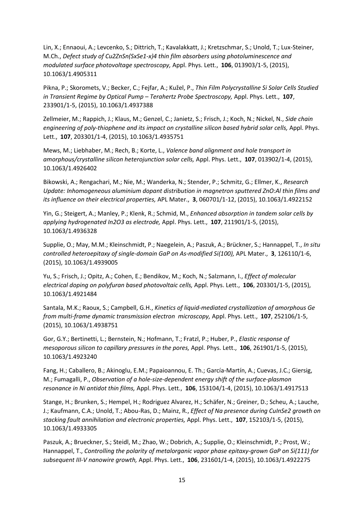Lin, X.; Ennaoui, A.; Levcenko, S.; Dittrich, T.; Kavalakkatt, J.; Kretzschmar, S.; Unold, T.; Lux-Steiner, M.Ch., *Defect study of Cu2ZnSn(SxSe1-x)4 thin film absorbers using photoluminescence and modulated surface photovoltage spectroscopy,* Appl. Phys. Lett., **106**, 013903/1-5, (2015), 10.1063/1.4905311

Pikna, P.; Skoromets, V.; Becker, C.; Fejfar, A.; Kužel, P., *Thin Film Polycrystalline Si Solar Cells Studied in Transient Regime by Optical Pump – Terahertz Probe Spectroscopy,* Appl. Phys. Lett., **107**, 233901/1-5, (2015), 10.1063/1.4937388

Zellmeier, M.; Rappich, J.; Klaus, M.; Genzel, C.; Janietz, S.; Frisch, J.; Koch, N.; Nickel, N., *Side chain*  engineering of poly-thiophene and its impact on crystalline silicon based hybrid solar cells, Appl. Phys. Lett., **107**, 203301/1-4, (2015), 10.1063/1.4935751

Mews, M.; Liebhaber, M.; Rech, B.; Korte, L., *Valence band alignment and hole transport in amorphous/crystalline silicon heterojunction solar cells,* Appl. Phys. Lett., **107**, 013902/1-4, (2015), 10.1063/1.4926402

Bikowski, A.; Rengachari, M.; Nie, M.; Wanderka, N.; Stender, P.; Schmitz, G.; Ellmer, K., *Research Update: Inhomogeneous aluminium dopant distribution in magnetron sputtered ZnO:Al thin films and its influence on their electrical properties,* APL Mater., **3**, 060701/1-12, (2015), 10.1063/1.4922152

Yin, G.; Steigert, A.; Manley, P.; Klenk, R.; Schmid, M., *Enhanced absorption in tandem solar cells by applying hydrogenated In2O3 as electrode,* Appl. Phys. Lett., **107**, 211901/1-5, (2015), 10.1063/1.4936328

Supplie, O.; May, M.M.; Kleinschmidt, P.; Naegelein, A.; Paszuk, A.; Brückner, S.; Hannappel, T., *In situ controlled heteroepitaxy of single-domain GaP on As-modified Si(100),* APL Mater., **3**, 126110/1-6, (2015), 10.1063/1.4939005

Yu, S.; Frisch, J.; Opitz, A.; Cohen, E.; Bendikov, M.; Koch, N.; Salzmann, I., *Effect of molecular electrical doping on polyfuran based photovoltaic cells,* Appl. Phys. Lett., **106**, 203301/1-5, (2015), 10.1063/1.4921484

Santala, M.K.; Raoux, S.; Campbell, G.H., *Kinetics of liquid-mediated crystallization of amorphous Ge from multi-frame dynamic transmission electron microscopy,* Appl. Phys. Lett., **107**, 252106/1-5, (2015), 10.1063/1.4938751

Gor, G.Y.; Bertinetti, L.; Bernstein, N.; Hofmann, T.; Fratzl, P.; Huber, P., *Elastic response of mesoporous silicon to capillary pressures in the pores,* Appl. Phys. Lett., **106**, 261901/1-5, (2015), 10.1063/1.4923240

Fang, H.; Caballero, B.; Akinoglu, E.M.; Papaioannou, E. Th.; García-Martín, A.; Cuevas, J.C.; Giersig, M.; Fumagalli, P., *Observation of a hole-size-dependent energy shift of the surface-plasmon resonance in Ni antidot thin films,* Appl. Phys. Lett., **106**, 153104/1-4, (2015), 10.1063/1.4917513

Stange, H.; Brunken, S.; Hempel, H.; Rodriguez Alvarez, H.; Schäfer, N.; Greiner, D.; Scheu, A.; Lauche, J.; Kaufmann, C.A.; Unold, T.; Abou-Ras, D.; Mainz, R., *Effect of Na presence during CuInSe2 growth on stacking fault annihilation and electronic properties,* Appl. Phys. Lett., **107**, 152103/1-5, (2015), 10.1063/1.4933305

Paszuk, A.; Brueckner, S.; Steidl, M.; Zhao, W.; Dobrich, A.; Supplie, O.; Kleinschmidt, P.; Prost, W.; Hannappel, T., *Controlling the polarity of metalorganic vapor phase epitaxy-grown GaP on Si(111) for subsequent III-V nanowire growth,* Appl. Phys. Lett., **106**, 231601/1-4, (2015), 10.1063/1.4922275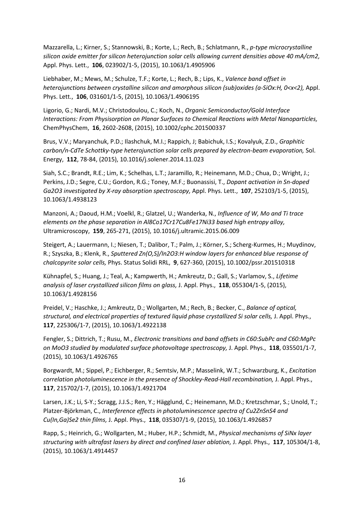Mazzarella, L.; Kirner, S.; Stannowski, B.; Korte, L.; Rech, B.; Schlatmann, R., *p-type microcrystalline silicon oxide emitter for silicon heterojunction solar cells allowing current densities above 40 mA/cm2,*  Appl. Phys. Lett., **106**, 023902/1-5, (2015), 10.1063/1.4905906

Liebhaber, M.; Mews, M.; Schulze, T.F.; Korte, L.; Rech, B.; Lips, K., *Valence band offset in heterojunctions between crystalline silicon and amorphous silicon (sub)oxides (a-SiOx:H, 0<x<2),* Appl. Phys. Lett., **106**, 031601/1-5, (2015), 10.1063/1.4906195

Ligorio, G.; Nardi, M.V.; Christodoulou, C.; Koch, N., *Organic Semiconductor/Gold Interface Interactions: From Physisorption on Planar Surfaces to Chemical Reactions with Metal Nanoparticles,*  ChemPhysChem, **16**, 2602-2608, (2015), 10.1002/cphc.201500337

Brus, V.V.; Maryanchuk, P.D.; Ilashchuk, M.I.; Rappich, J; Babichuk, I.S.; Kovalyuk, Z.D., *Graphitic carbon/n-CdTe Schottky-type heterojunction solar cells prepared by electron-beam evaporation,* Sol. Energy, **112**, 78-84, (2015), 10.1016/j.solener.2014.11.023

Siah, S.C.; Brandt, R.E.; Lim, K.; Schelhas, L.T.; Jaramillo, R.; Heinemann, M.D.; Chua, D.; Wright, J.; Perkins, J.D.; Segre, C.U.; Gordon, R.G.; Toney, M.F.; Buonassisi, T., *Dopant activation in Sn-doped Ga2O3 investigated by X-ray absorption spectroscopy,* Appl. Phys. Lett., **107**, 252103/1-5, (2015), 10.1063/1.4938123

Manzoni, A.; Daoud, H.M.; Voelkl, R.; Glatzel, U.; Wanderka, N., *Influence of W, Mo and Ti trace elements on the phase separation in Al8Co17Cr17Cu8Fe17Ni33 based high entropy alloy,*  Ultramicroscopy, **159**, 265-271, (2015), 10.1016/j.ultramic.2015.06.009

Steigert, A.; Lauermann, I.; Niesen, T.; Dalibor, T.; Palm, J.; Körner, S.; Scherg-Kurmes, H.; Muydinov, R.; Szyszka, B.; Klenk, R., *Sputtered Zn(O,S)/In2O3:H window layers for enhanced blue response of chalcopyrite solar cells,* Phys. Status Solidi RRL, **9**, 627-360, (2015), 10.1002/pssr.201510318

Kühnapfel, S.; Huang, J.; Teal, A.; Kampwerth, H.; Amkreutz, D.; Gall, S.; Varlamov, S., *Lifetime analysis of laser crystallized silicon films on glass,* J. Appl. Phys., **118**, 055304/1-5, (2015), 10.1063/1.4928156

Preidel, V.; Haschke, J.; Amkreutz, D.; Wollgarten, M.; Rech, B.; Becker, C., *Balance of optical, structural, and electrical properties of textured liquid phase crystallized Si solar cells,* J. Appl. Phys., **117**, 225306/1-7, (2015), 10.1063/1.4922138

Fengler, S.; Dittrich, T.; Rusu, M., *Electronic transitions and band offsets in C60:SubPc and C60:MgPc on MoO3 studied by modulated surface photovoltage spectroscopy,* J. Appl. Phys., **118**, 035501/1-7, (2015), 10.1063/1.4926765

Borgwardt, M.; Sippel, P.; Eichberger, R.; Semtsiv, M.P.; Masselink, W.T.; Schwarzburg, K., *Excitation correlation photoluminescence in the presence of Shockley-Read-Hall recombination, J. Appl. Phys.,* **117**, 215702/1-7, (2015), 10.1063/1.4921704

Larsen, J.K.; Li, S-Y.; Scragg, J.J.S.; Ren, Y.; Hägglund, C.; Heinemann, M.D.; Kretzschmar, S.; Unold, T.; Platzer-Björkman, C., *Interference effects in photoluminescence spectra of Cu2ZnSnS4 and Cu(In,Ga)Se2 thin films,* J. Appl. Phys., **118**, 035307/1-9, (2015), 10.1063/1.4926857

Rapp, S.; Heinrich, G.; Wollgarten, M.; Huber, H.P.; Schmidt, M., *Physical mechanisms of SiNx layer structuring with ultrafast lasers by direct and confined laser ablation,* J. Appl. Phys., **117**, 105304/1-8, (2015), 10.1063/1.4914457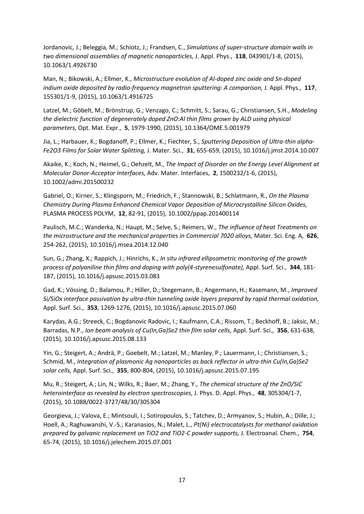Jordanovic, J.; Beleggia, M.; Schiotz, J.; Frandsen, C., *Simulations of super-structure domain walls in two dimensional assemblies of magnetic nanoparticles,* J. Appl. Phys., **118**, 043901/1-8, (2015), 10.1063/1.4926730

Man, N.; Bikowski, A.; Ellmer, K., *Microstructure evolution of Al-doped zinc oxide and Sn-doped indium oxide deposited by radio-frequency magnetron sputtering: A comparison, J. Appl. Phys., 117,* 155301/1-9, (2015), 10.1063/1.4916725

Latzel, M.; Göbelt, M.; Brönstrup, G.; Venzago, C.; Schmitt, S.; Sarau, G.; Christiansen, S.H., *Modeling the dielectric function of degenerately doped ZnO:Al thin films grown by ALD using physical parameters,* Opt. Mat. Expr., **5**, 1979-1990, (2015), 10.1364/OME.5.001979

Jia, L.; Harbauer, K.; Bogdanoff, P.; Ellmer, K.; Fiechter, S., *Sputtering Deposition of Ultra-thin alpha-Fe2O3 Films for Solar Water Splitting,* J. Mater. Sci., **31**, 655-659, (2015), 10.1016/j.jmst.2014.10.007

Akaike, K.; Koch, N.; Heimel, G.; Oehzelt, M., *The Impact of Disorder on the Energy Level Alignment at Molecular Donor-Acceptor Interfaces,* Adv. Mater. Interfaces, **2**, 1500232/1-6, (2015), 10.1002/admi.201500232

Gabriel, O.; Kirner, S.; Klingsporn, M.; Friedrich, F.; Stannowski, B.; Schlatmann, R., *On the Plasma Chemistry During Plasma Enhanced Chemical Vapor Deposition of Microcrystalline Silicon Oxides,*  PLASMA PROCESS POLYM, **12**, 82-91, (2015), 10.1002/ppap.201400114

Paulisch, M.C.; Wanderka, N.; Haupt, M.; Selve, S.; Reimers, W., *The influence of heat Treatments on the microstructure and the mechanical properties in Commercial 7020 alloys,* Mater. Sci. Eng. A, **626**, 254-262, (2015), 10.1016/j.msea.2014.12.040

Sun, G.; Zhang, X.; Rappich, J.; Hinrichs, K., *In situ infrared ellipsometric monitoring of the growth process of polyaniline thin films and doping with poly(4-styrenesulfonate),* Appl. Surf. Sci., **344**, 181- 187, (2015), 10.1016/j.apsusc.2015.03.083

Gad, K.; Vössing, D.; Balamou, P.; Hiller, D.; Stegemann, B.; Angermann, H.; Kasemann, M., *Improved Si/SiOx interface passivation by ultra-thin tunneling oxide layers prepared by rapid thermal oxidation,*  Appl. Surf. Sci., **353**, 1269-1276, (2015), 10.1016/j.apsusc.2015.07.060

Karydas, A.G.; Streeck, C.; Bogdanovic Radovic, I.; Kaufmann, C.A.; Rissom, T.; Beckhoff, B.; Jaksic, M.; Barradas, N.P., *Ion beam analysis of Cu(In,Ga)Se2 thin film solar cells,* Appl. Surf. Sci., **356**, 631-638, (2015), 10.1016/j.apsusc.2015.08.133

Yin, G.; Steigert, A.; Andrä, P.; Goebelt, M.; Latzel, M.; Manley, P.; Lauermann, I.; Christiansen, S.; Schmid, M., *Integration of plasmonic Ag nanoparticles as back reflector in ultra-thin Cu(In,Ga)Se2 solar cells,* Appl. Surf. Sci., **355**, 800-804, (2015), 10.1016/j.apsusc.2015.07.195

Mu, R.; Steigert, A.; Lin, N.; Wilks, R.; Baer, M.; Zhang, Y., *The chemical structure of the ZnO/SiC heterointerface as revealed by electron spectroscopies,* J. Phys. D. Appl. Phys., **48**, 305304/1-7, (2015), 10.1088/0022-3727/48/30/305304

Georgieva, J.; Valova, E.; Mintsouli, I.; Sotiropoulos, S.; Tatchev, D.; Armyanov, S.; Hubin, A.; Dille, J.; Hoell, A.; Raghuwanshi, V.-S.; Karanasios, N.; Malet, L., *Pt(Ni) electrocatalysts for methanol oxidation prepared by galvanic replacement on TiO2 and TiO2-C powder supports,* J. Electroanal. Chem., **754**, 65-74, (2015), 10.1016/j.jelechem.2015.07.001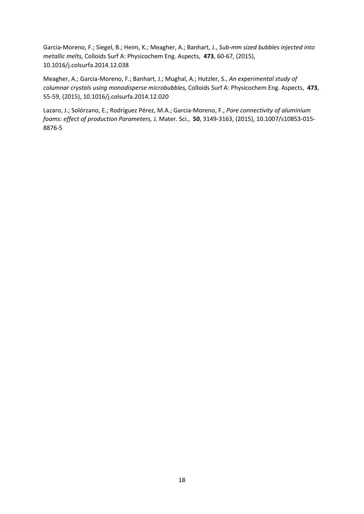Garcia-Moreno, F.; Siegel, B.; Heim, K.; Meagher, A.; Banhart, J., *Sub-mm sized bubbles injected into metallic melts,* Colloids Surf A: Physicochem Eng. Aspects, **473**, 60-67, (2015), 10.1016/j.colsurfa.2014.12.038

Meagher, A.; Garcia-Moreno, F.; Banhart, J.; Mughal, A.; Hutzler, S., *An experimental study of columnar crystals using monodisperse microbubbles,* Colloids Surf A: Physicochem Eng. Aspects, **473**, 55-59, (2015), 10.1016/j.colsurfa.2014.12.020

Lazaro, J.; Solórzano, E.; Rodriguez Pérez, M.A.; Garcia-Moreno, F., *Pore connectivity of aluminium foams: effect of production Parameters,* J. Mater. Sci., **50**, 3149-3163, (2015), 10.1007/s10853-015- 8876-5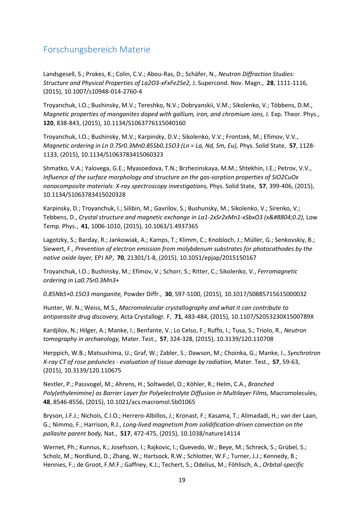## <span id="page-18-0"></span>Forschungsbereich Materie

Landsgesell, S.; Prokes, K.; Colin, C.V.; Abou-Ras, D.; Schäfer, N., *Neutron Diffraction Studies: Structure and Physical Properties of La2O3-xFxFe2Se2,* J. Supercond. Nov. Magn., **28**, 1111-1116, (2015), 10.1007/s10948-014-2760-4

Troyanchuk, I.O.; Bushinsky, M.V.; Tereshko, N.V.; Dobryanskii, V.M.; Sikolenko, V.; Többens, D.M., *Magnetic properties of manganites doped with gallium, iron, and chromium ions,* J. Exp. Theor. Phys., **120**, 838-843, (2015), 10.1134/S1063776115040160

Troyanchuk, I.O.; Bushinsky, M.V.; Karpinsky, D.V.; Sikolenko, V.V.; Frontzek, M.; Efimov, V.V., *Magnetic ordering in Ln 0.7Sr0.3Mn0.85Sb0.15O3 (Ln = La, Nd, Sm, Eu),* Phys. Solid State, **57**, 1128- 1133, (2015), 10.1134/S1063783415060323

Shmatko, V.A.; Yalovega, G.E.; Myasoedova, T.N.; Brzhezinskaya, M.M.; Shtekhin, I.E.; Petrov, V.V., *Influence of the surface morphology and structure on the gas-sorption properties of SiO2CuOx nanocomposite materials: X-ray spectroscopy investigations,* Phys. Solid State, **57**, 399-406, (2015), 10.1134/S1063783415020328

Karpinsky, D.; Troyanchuk, I.; Silibin, M.; Gavrilov, S.; Bushunsky, M.; Sikolenko, V.; Sirenko, V.; Tebbens, D., *Crystal structure and magnetic exchange in La1-2xSr2xMn1-xSbxO3 (x≤0.2)*, Low Temp. Phys., **41**, 1006-1010, (2015), 10.1063/1.4937365

Lagotzky, S.; Barday, R.; Jankowiak, A.; Kamps, T.; Klimm, C.; Knobloch, J.; Müller, G.; Senkovskiy, B.; Siewert, F., *Prevention of electron emission from molybdenum substrates for photocathodes by the native oxide layer,* EPJ AP, **70**, 21301/1-8, (2015), 10.1051/epjap/2015150167

Troyanchuk, I.O.; Bushinsky, M.; Efimov, V.; Schorr, S.; Ritter, C.; Sikolenko, V., *Ferromagnetic ordering in La0.7Sr0.3Mn3+*

*0.85Nb5+0.15O3 manganite,* Powder Diffr., **30**, S97-S100, (2015), 10.1017/S0885715615000032

Hunter, W. N.; Weiss, M.S., *Macromolecular crystallography and what it can contribute to antiparasite drug discovery,* Acta Crystallogr. F, **71**, 483-484, (2015), 10.1107/S2053230X1500789X

Kardjilov, N.; Hilger, A.; Manke, I.; Benfante, V.; Lo Celso, F.; Ruffo, I.; Tusa, S.; Triolo, R., *Neutron tomography in archaeology,* Mater. Test., **57**, 324-328, (2015), 10.3139/120.110708

Herppich, W.B.; Matsushima, U.; Graf, W.; Zabler, S.; Dawson, M.; Choinka, G.; Manke, I., *Synchrotron X-ray CT of rose peduncles - evaluation of tissue damage by radiation,* Mater. Test., **57**, 59-63, (2015), 10.3139/120.110675

Nestler, P.; Passvogel, M.; Ahrens, H.; Soltwedel, O.; Köhler, R.; Helm, C.A., *Branched*  Poly(ethylenimine) as Barrier Layer for Polyelectrolyte Diffusion in Multilayer Films, Macromolecules, **48**, 8546-8556, (2015), 10.1021/acs.macromol.5b01065

Bryson, J.F.J.; Nichols, C.I.O.; Herrero-Albillos, J.; Kronast, F.; Kasama, T.; Alimadadi, H.; van der Laan, G.; Nimmo, F.; Harrison, R.J., *Long-lived magnetism from solidification-driven convection on the pallasite parent body,* Nat., **517**, 472-475, (2015), 10.1038/nature14114

Wernet, Ph.; Kunnus, K.; Josefsson, I.; Rajkovic, I.; Quevedo, W.; Beye, M.; Schreck, S.; Grübel, S.; Scholz, M.; Nordlund, D.; Zhang, W.; Hartsock, R.W.; Schlotter, W.F.; Turner, J.J.; Kennedy, B.; Hennies, F.; de Groot, F.M.F.; Gaffney, K.J.; Techert, S.; Odelius, M.; Föhlisch, A., *Orbital-specific*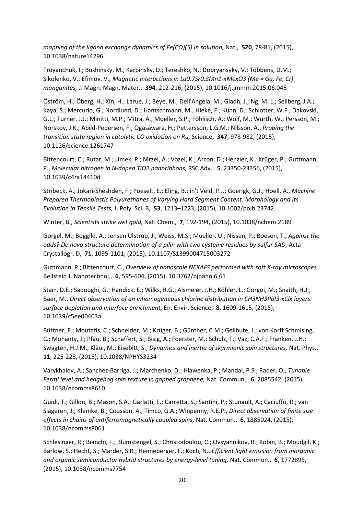*mapping of the ligand exchange dynamics of Fe(CO)(5) in solution,* Nat., **520**, 78-81, (2015), 10.1038/nature14296

Troyanchuk, I.; Bushinsky, M.; Karpinsky, D.; Tereshko, N.; Dobryansyky, V.; Többens, D.M.; Sikolenko, V.; Efimov, V., *Magnetic interactions in La0.7Sr0.3Mn1-xMexO3 (Me = Ga, Fe, Cr) manganites,* J. Magn. Magn. Mater., **394**, 212-216, (2015), 10.1016/j.jmmm.2015.06.046

Öström, H.; Öberg, H.; Xin, H.; Larue, J.; Beye, M.; Dell'Angela, M.; Gladh, J.; Ng, M. L.; Sellberg, J.A.; Kaya, S.; Mercurio, G.; Nordlund, D.; Hantschmann, M.; Hieke, F.; Kühn, D.; Schlotter, W.F.; Dakovski, G.L.; Turner, J.J.; Minitti, M.P.; Mitra, A.; Moeller, S.P.; Föhlisch, A.; Wolf, M.; Wurth, W.; Persson, M.; Norskov, J.K.; Abild-Pedersen, F.; Ogasawara, H.; Pettersson, L.G.M.; Nilsson, A., *Probing the transition state region in catalytic CO oxidation on Ru,* Science, **347**, 978-982, (2015), 10.1126/science.1261747

Bittencourt, C.; Rutar, M.; Umek, P.; Mrzel, A.; Vozel, K.; Arcon, D.; Henzler, K.; Krüger, P.; Guttmann, P., *Molecular nitrogen in N-doped TiO2 nanoribbons,* RSC Adv., **5**, 23350-23356, (2015), 10.1039/c4ra14410d

Stribeck, A.; Jokari-Sheshdeh, F.; Poeselt, E.; Eling, B.; in't Veld, P.J.; Goerigk, G.J.; Hoell, A., *Machine Prepared Thermoplastic Polyurethanes of Varying Hard Segment Content: Morphology and Its Evolution in Tensile Tests,* J. Poly. Sci. B, **53**, 1213–1223, (2015), 10.1002/polb.23742

Winter, B., *Scientists strike wet gold,* Nat. Chem., **7**, 192-194, (2015), 10.1038/nchem.2189

Gorgel, M.; Boggild, A.; Jensen Ulstrup, J.; Weiss, M.S.; Mueller, U.; Nissen, P.; Boesen, T., *Against the odds? De novo structure determination of a pilin with two cysteine residues by sulfur SAD,* Acta Crystallogr. D, **71**, 1095-1101, (2015), 10.1107/S1399004715003272

Guttmann, P.; Bittencourt, C., *Overview of nanoscale NEXAFS performed with soft X-ray microscopes,*  Beilstein J. Nanotechnol., **6**, 595-604, (2015), 10.3762/bjnano.6.61

Starr, D.E.; Sadoughi, G.; Handick, E.; Wilks, R.G.; Alsmeier, J.H.; Köhler, L.; Gorgoi, M.; Snaith, H.J.; Baer, M., *Direct observation of an inhomogeneous chlorine distribution in CH3NH3PbI3-xClx layers: surface depletion and interface enrichment,* En. Envir. Science, **8**, 1609-1615, (2015), 10.1039/c5ee00403a

Büttner, F.; Moutafis, C.; Schneider, M.; Krüger, B.; Günther, C.M.; Geilhufe, J.; von Korff Schmising, C.; Mohanty, J.; Pfau, B.; Schaffert, S.; Bisig, A.; Foerster, M.; Schulz, T.; Vaz, C.A.F.; Franken, J.H.; Swagten, H.J.M.; Kläui, M.; Eisebitt, S., *Dynamics and inertia of skyrmionic spin structures,* Nat. Phys., **11**, 225-228, (2015), 10.1038/NPHYS3234

Varykhalov, A.; Sanchez-Barriga, J.; Marchenko, D.; Hlawenka, P.; Mandal, P.S.; Rader, O., *Tunable Fermi level and hedgehog spin texture in gapped graphene,* Nat. Commun., **6**, 2085542, (2015), 10.1038/ncomms8610

Guidi, T.; Gillon, B.; Mason, S.A.; Garlatti, E.; Carretta, S.; Santini, P.; Stunault, A.; Caciuffo, R.; van Slageren, J.; Klemke, B.; Cousson, A.; Timco, G.A.; Winpenny, R.E.P., *Direct observation of finite size effects in chains of antiferromagnetically coupled spins,* Nat. Commun., **6**, 1885024, (2015), 10.1038/ncomms8061

Schlesinger, R.; Bianchi, F.; Blumstengel, S.; Christodoulou, C.; Ovsyannikov, R.; Kobin, B.; Moudgil, K.; Barlow, S.; Hecht, S.; Marder, S.R.; Henneberger, F.; Koch, N., *Efficient light emission from inorganic and organic semiconductor hybrid structures by energy-level tuning,* Nat. Commun., **6**, 1772895, (2015), 10.1038/ncomms7754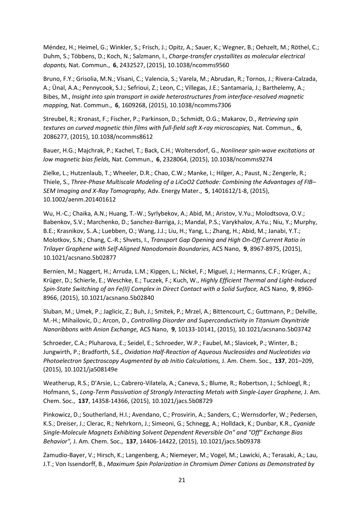Méndez, H.; Heimel, G.; Winkler, S.; Frisch, J.; Opitz, A.; Sauer, K.; Wegner, B.; Oehzelt, M.; Röthel, C.; Duhm, S.; Többens, D.; Koch, N.; Salzmann, I., *Charge-transfer crystallites as molecular electrical dopants,* Nat. Commun., **6**, 2432527, (2015), 10.1038/ncomms9560

Bruno, F.Y.; Grisolia, M.N.; Visani, C.; Valencia, S.; Varela, M.; Abrudan, R.; Tornos, J.; Rivera-Calzada, A.; Ünal, A.A.; Pennycook, S.J.; Sefrioui, Z.; Leon, C.; Villegas, J.E.; Santamaria, J.; Barthelemy, A.; Bibes, M., *Insight into spin transport in oxide heterostructures from interface-resolved magnetic mapping,* Nat. Commun., **6**, 1609268, (2015), 10.1038/ncomms7306

Streubel, R.; Kronast, F.; Fischer, P.; Parkinson, D.; Schmidt, O.G.; Makarov, D., *Retrieving spin textures on curved magnetic thin films with full-field soft X-ray microscopies,* Nat. Commun., **6**, 2086277, (2015), 10.1038/ncomms8612

Bauer, H.G.; Majchrak, P.; Kachel, T.; Back, C.H.; Woltersdorf, G., *Nonlinear spin-wave excitations at low magnetic bias fields,* Nat. Commun., **6**, 2328064, (2015), 10.1038/ncomms9274

Zielke, L.; Hutzenlaub, T.; Wheeler, D.R.; Chao, C.W.; Manke, I.; Hilger, A.; Paust, N.; Zengerle, R.; Thiele, S., *Three-Phase Multiscale Modeling of a LiCoO2 Cathode: Combining the Advantages of FIB– SEM Imaging and X-Ray Tomography,* Adv. Energy Mater., **5**, 1401612/1-8, (2015), 10.1002/aenm.201401612

Wu, H.-C.; Chaika, A.N.; Huang, T.-W.; Syrlybekov, A.; Abid, M.; Aristov, V.Yu.; Molodtsova, O.V.; Babenkov, S.V.; Marchenko, D.; Sanchez-Barriga, J.; Mandal, P.S.; Varykhalov, A.Yu.; Niu, Y.; Murphy, B.E.; Krasnikov, S..A.; Luebben, O.; Wang, J.J.; Liu, H.; Yang, L.; Zhang, H.; Abid, M.; Janabi, Y.T.; Molotkov, S.N.; Chang, C.-R.; Shvets, I., *Transport Gap Opening and High On-Off Current Ratio in Trilayer Graphene with Self-Aligned Nanodomain Boundaries,* ACS Nano, **9**, 8967-8975, (2015), 10.1021/acsnano.5b02877

Bernien, M.; Naggert, H.; Arruda, L.M.; Kipgen, L.; Nickel, F.; Miguel, J.; Hermanns, C.F.; Krüger, A.; Krüger, D.; Schierle, E.; Weschke, E.; Tuczek, F.; Kuch, W., *Highly Efficient Thermal and Light-Induced Spin-State Switching of an Fe(II) Complex in Direct Contact with a Solid Surface,* ACS Nano, **9**, 8960- 8966, (2015), 10.1021/acsnano.5b02840

Sluban, M.; Umek, P.; Jaglicic, Z.; Buh, J.; Smitek, P.; Mrzel, A.; Bittencourt, C.; Guttmann, P.; Delville, M.-H.; Mihailovic, D.; Arcon, D., *Controlling Disorder and Superconductivity in Titanium Oxynitride Nanoribbons with Anion Exchange,* ACS Nano, **9**, 10133-10141, (2015), 10.1021/acsnano.5b03742

Schroeder, C.A.; Pluharova, E.; Seidel, E.; Schroeder, W.P.; Faubel, M.; Slavicek, P.; Winter, B.; Jungwirth, P.; Bradforth, S.E., *Oxidation Half-Reaction of Aqueous Nucleosides and Nucleotides via Photoelectron Spectroscopy Augmented by ab Initio Calculations,* J. Am. Chem. Soc., **137**, 201–209, (2015), 10.1021/ja508149e

Weatherup, R.S.; D'Arsie, L.; Cabrero-Vilatela, A.; Caneva, S.; Blume, R.; Robertson, J.; Schloegl, R.; Hofmann, S., *Long-Term Passivation of Strongly Interacting Metals with Single-Layer Graphene,* J. Am. Chem. Soc., **137**, 14358-14366, (2015), 10.1021/jacs.5b08729

Pinkowicz, D.; Southerland, H.I.; Avendano, C.; Prosvirin, A.; Sanders, C.; Wernsdorfer, W.; Pedersen, K.S.; Dreiser, J.; Clerac, R.; Nehrkorn, J.; Simeoni, G.; Schnegg, A.; Holldack, K.; Dunbar, K.R., *Cyanide Single-Molecule Magnets Exhibiting Solvent Dependent Reversible On" and "Off" Exchange Bias Behavior",* J. Am. Chem. Soc., **137**, 14406-14422, (2015), 10.1021/jacs.5b09378

Zamudio-Bayer, V.; Hirsch, K.; Langenberg, A.; Niemeyer, M.; Vogel, M.; Lawicki, A.; Terasaki, A.; Lau, J.T.; Von Issendorff, B., *Maximum Spin Polarization in Chromium Dimer Cations as Demonstrated by*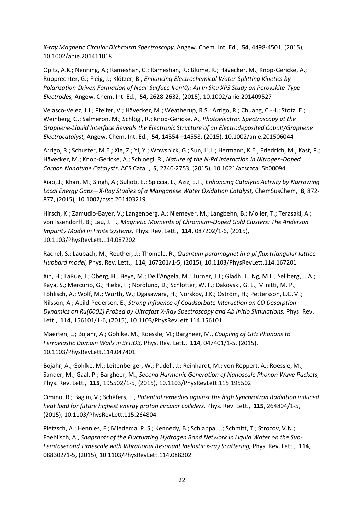*X-ray Magnetic Circular Dichroism Spectroscopy,* Angew. Chem. Int. Ed., **54**, 4498-4501, (2015), 10.1002/anie.201411018

Opitz, A.K.; Nenning, A.; Rameshan, C.; Rameshan, R.; Blume, R.; Hävecker, M.; Knop-Gericke, A.; Rupprechter, G.; Fleig, J.; Klötzer, B., *Enhancing Electrochemical Water-Splitting Kinetics by Polarization-Driven Formation of Near-Surface Iron(0): An In Situ XPS Study on Perovskite-Type Electrodes,* Angew. Chem. Int. Ed., **54**, 2628-2632, (2015), 10.1002/anie.201409527

Velasco-Velez, J.J.; Pfeifer, V.; Hävecker, M.; Weatherup, R.S.; Arrigo, R.; Chuang, C.-H.; Stotz, E.; Weinberg, G.; Salmeron, M.; Schlögl, R.; Knop-Gericke, A., *Photoelectron Spectroscopy at the Graphene-Liquid Interface Reveals the Electronic Structure of an Electrodeposited Cobalt/Graphene Electrocatalyst,* Angew. Chem. Int. Ed., **54**, 14554 –14558, (2015), 10.1002/anie.201506044

Arrigo, R.; Schuster, M.E.; Xie, Z.; Yi, Y.; Wowsnick, G.; Sun, Li.L.; Hermann, K.E.; Friedrich, M.; Kast, P.; Hävecker, M.; Knop-Gericke, A.; Schloegl, R., *Nature of the N-Pd Interaction in Nitrogen-Doped Carbon Nanotube Catalysts,* ACS Catal., **5**, 2740-2753, (2015), 10.1021/acscatal.5b00094

Xiao, J.; Khan, M.; Singh, A.; Suljoti, E.; Spiccia, L.; Aziz, E.F., *Enhancing Catalytic Activity by Narrowing Local Energy Gaps—X-Ray Studies of a Manganese Water Oxidation Catalyst,* ChemSusChem, **8**, 872- 877, (2015), 10.1002/cssc.201403219

Hirsch, K.; Zamudio-Bayer, V.; Langenberg, A.; Niemeyer, M.; Langbehn, B.; Möller, T.; Terasaki, A.; von Issendorff, B.; Lau, J. T., *Magnetic Moments of Chromium-Doped Gold Clusters: The Anderson Impurity Model in Finite Systems,* Phys. Rev. Lett., **114**, 087202/1-6, (2015), 10.1103/PhysRevLett.114.087202

Rachel, S.; Laubach, M.; Reuther, J.; Thomale, R., *Quantum paramagnet in a pi flux triangular lattice Hubbard model,* Phys. Rev. Lett., **114**, 167201/1-5, (2015), 10.1103/PhysRevLett.114.167201

Xin, H.; LaRue, J.; Öberg, H.; Beye, M.; Dell'Angela, M.; Turner, J.J.; Gladh, J.; Ng, M.L.; Sellberg, J. A.; Kaya, S.; Mercurio, G.; Hieke, F.; Nordlund, D.; Schlotter, W. F.; Dakovski, G. L.; Minitti, M. P.; Föhlisch, A.; Wolf, M.; Wurth, W.; Ogasawara, H.; Norskov, J.K.; Öström, H.; Pettersson, L.G.M.; Nilsson, A.; Abild-Pedersen, E., *Strong Influence of Coadsorbate Interaction on CO Desorption Dynamics on Ru(0001) Probed by Ultrafast X-Ray Spectroscopy and Ab Initio Simulations, Phys. Rev.* Lett., **114**, 156101/1-6, (2015), 10.1103/PhysRevLett.114.156101

Maerten, L.; Bojahr, A.; Gohlke, M.; Roessle, M.; Bargheer, M., *Coupling of GHz Phonons to Ferroelastic Domain Walls in SrTiO3,* Phys. Rev. Lett., **114**, 047401/1-5, (2015), 10.1103/PhysRevLett.114.047401

Bojahr, A.; Gohlke, M.; Leitenberger, W.; Pudell, J.; Reinhardt, M.; von Reppert, A.; Roessle, M.; Sander, M.; Gaal, P.; Bargheer, M., *Second Harmonic Generation of Nanoscale Phonon Wave Packets,*  Phys. Rev. Lett., **115**, 195502/1-5, (2015), 10.1103/PhysRevLett.115.195502

Cimino, R.; Baglin, V.; Schäfers, F., *Potential remedies against the high Synchrotron Radiation induced heat load for future highest energy proton circular colliders,* Phys. Rev. Lett., **115**, 264804/1-5, (2015), 10.1103/PhysRevLett.115.264804

Pietzsch, A.; Hennies, F.; Miedema, P. S.; Kennedy, B.; Schlappa, J.; Schmitt, T.; Strocov, V.N.; Foehlisch, A., *Snapshots of the Fluctuating Hydrogen Bond Network in Liquid Water on the Sub-Femtosecond Timescale with Vibrational Resonant Inelastic x-ray Scattering,* Phys. Rev. Lett., **114**, 088302/1-5, (2015), 10.1103/PhysRevLett.114.088302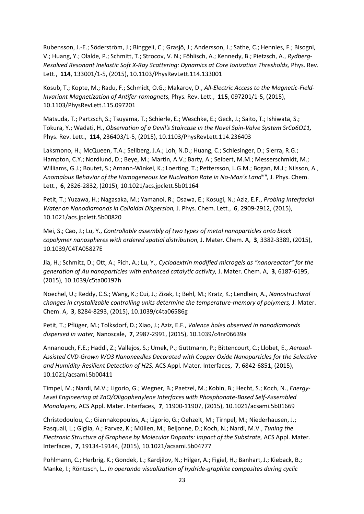Rubensson, J.-E.; Söderström, J.; Binggeli, C.; Grasjö, J.; Andersson, J.; Sathe, C.; Hennies, F.; Bisogni, V.; Huang, Y.; Olalde, P.; Schmitt, T.; Strocov, V. N.; Föhlisch, A.; Kennedy, B.; Pietzsch, A., *Rydberg-Resolved Resonant Inelastic Soft X-Ray Scattering: Dynamics at Core Ionization Thresholds,* Phys. Rev. Lett., **114**, 133001/1-5, (2015), 10.1103/PhysRevLett.114.133001

Kosub, T.; Kopte, M.; Radu, F.; Schmidt, O.G.; Makarov, D., *All-Electric Access to the Magnetic-Field-Invariant Magnetization of Antifer-romagnets,* Phys. Rev. Lett., **115**, 097201/1-5, (2015), 10.1103/PhysRevLett.115.097201

Matsuda, T.; Partzsch, S.; Tsuyama, T.; Schierle, E.; Weschke, E.; Geck, J.; Saito, T.; Ishiwata, S.; Tokura, Y.; Wadati, H., *Observation of a Devil's Staircase in the Novel Spin-Valve System SrCo6O11,*  Phys. Rev. Lett., **114**, 236403/1-5, (2015), 10.1103/PhysRevLett.114.236403

Laksmono, H.; McQueen, T.A.; Sellberg, J.A.; Loh, N.D.; Huang, C.; Schlesinger, D.; Sierra, R.G.; Hampton, C.Y.; Nordlund, D.; Beye, M.; Martin, A.V.; Barty, A.; Seibert, M.M.; Messerschmidt, M.; Williams, G.J.; Boutet, S.; Arnann-Winkel, K.; Loerting, T.; Pettersson, L.G.M.; Bogan, M.J.; Nilsson, A., Anomalous Behavior of the Homogeneous Ice Nucleation Rate in No-Man's Land"", J. Phys. Chem. Lett., **6**, 2826-2832, (2015), 10.1021/acs.jpclett.5b01164

Petit, T.; Yuzawa, H.; Nagasaka, M.; Yamanoi, R.; Osawa, E.; Kosugi, N.; Aziz, E.F., *Probing Interfacial Water on Nanodiamonds in Colloidal Dispersion,* J. Phys. Chem. Lett., **6**, 2909-2912, (2015), 10.1021/acs.jpclett.5b00820

Mei, S.; Cao, J.; Lu, Y., *Controllable assembly of two types of metal nanoparticles onto block copolymer nanospheres with ordered spatial distribution,* J. Mater. Chem. A, **3**, 3382-3389, (2015), 10.1039/C4TA05827E

Jia, H.; Schmitz, D.; Ott, A.; Pich, A.; Lu, Y., *Cyclodextrin modified microgels as "nanoreactor" for the generation of Au nanoparticles with enhanced catalytic activity,* J. Mater. Chem. A, **3**, 6187-6195, (2015), 10.1039/c5ta00197h

Noechel, U.; Reddy, C.S.; Wang, K.; Cui, J.; Zizak, I.; Behl, M.; Kratz, K.; Lendlein, A., *Nanostructural changes in crystallizable controlling units determine the temperature-memory of polymers,* J. Mater. Chem. A, **3**, 8284-8293, (2015), 10.1039/c4ta06586g

Petit, T.; Pflüger, M.; Tolksdorf, D.; Xiao, J.; Aziz, E.F., *Valence holes observed in nanodiamonds dispersed in water,* Nanoscale, **7**, 2987-2991, (2015), 10.1039/c4nr06639a

Annanouch, F.E.; Haddi, Z.; Vallejos, S.; Umek, P.; Guttmann, P.; Bittencourt, C.; Llobet, E., *Aerosol-Assisted CVD-Grown WO3 Nanoneedles Decorated with Copper Oxide Nanoparticles for the Selective and Humidity-Resilient Detection of H2S,* ACS Appl. Mater. Interfaces, **7**, 6842-6851, (2015), 10.1021/acsami.5b00411

Timpel, M.; Nardi, M.V.; Ligorio, G.; Wegner, B.; Paetzel, M.; Kobin, B.; Hecht, S.; Koch, N., *Energy-Level Engineering at ZnO/Oligophenylene Interfaces with Phosphonate-Based Self-Assembled Monolayers,* ACS Appl. Mater. Interfaces, **7**, 11900-11907, (2015), 10.1021/acsami.5b01669

Christodoulou, C.; Giannakopoulos, A.; Ligorio, G.; Oehzelt, M.; Tirnpel, M.; Niederhausen, J.; Pasquali, L.; Giglia, A.; Parvez, K.; Müllen, M.; Beljonne, D.; Koch, N.; Nardi, M.V., *Tuning the Electronic Structure of Graphene by Molecular Dopants: Impact of the Substrate,* ACS Appl. Mater. Interfaces, **7**, 19134-19144, (2015), 10.1021/acsami.5b04777

Pohlmann, C.; Herbrig, K.; Gondek, L.; Kardjilov, N.; Hilger, A.; Figiel, H.; Banhart, J.; Kieback, B.; Manke, I.; Röntzsch, L., *In operando visualization of hydride-graphite composites during cyclic*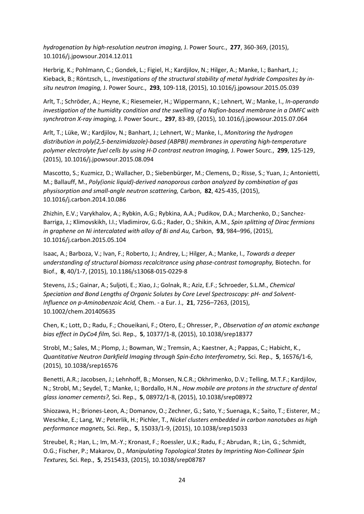*hydrogenation by high-resolution neutron imaging,* J. Power Sourc., **277**, 360-369, (2015), 10.1016/j.jpowsour.2014.12.011

Herbrig, K.; Pohlmann, C.; Gondek, L.; Figiel, H.; Kardjilov, N.; Hilger, A.; Manke, I.; Banhart, J.; Kieback, B.; Röntzsch, L., *Investigations of the structural stability of metal hydride Composites by insitu neutron Imaging,* J. Power Sourc., **293**, 109-118, (2015), 10.1016/j.jpowsour.2015.05.039

Arlt, T.; Schröder, A.; Heyne, K.; Riesemeier, H.; Wippermann, K.; Lehnert, W.; Manke, I., *In-operando investigation of the humidity condition and the swelling of a Nafion-based membrane in a DMFC with synchrotron X-ray imaging,* J. Power Sourc., **297**, 83-89, (2015), 10.1016/j.jpowsour.2015.07.064

Arlt, T.; Lüke, W.; Kardjilov, N.; Banhart, J.; Lehnert, W.; Manke, I., *Monitoring the hydrogen distribution in poly(2,5-benzimidazole)-based (ABPBI) membranes in operating high-temperature polymer electrolyte fuel cells by using H-D contrast neutron Imaging,* J. Power Sourc., **299**, 125-129, (2015), 10.1016/j.jpowsour.2015.08.094

Mascotto, S.; Kuzmicz, D.; Wallacher, D.; Siebenbürger, M.; Clemens, D.; Risse, S.; Yuan, J.; Antonietti, M.; Ballauff, M., *Poly(ionic liquid)-derived nanoporous carbon analyzed by combination of gas physisorption and small-angle neutron scattering,* Carbon, **82**, 425-435, (2015), 10.1016/j.carbon.2014.10.086

Zhizhin, E.V.; Varykhalov, A.; Rybkin, A.G.; Rybkina, A.A.; Pudikov, D.A.; Marchenko, D.; Sanchez-Barriga, J.; Klimovskikh, I.I.; Vladimirov, G.G.; Rader, O.; Shikin, A.M., *Spin splitting of Dirac fermions in graphene on Ni intercalated with alloy of Bi and Au,* Carbon, **93**, 984–996, (2015), 10.1016/j.carbon.2015.05.104

Isaac, A.; Barboza, V.; Ivan, F.; Roberto, J.; Andrey, L.; Hilger, A.; Manke, I., *Towards a deeper understanding of structural biomass recalcitrance using phase-contrast tomography, Biotechn. for* Biof., **8**, 40/1-7, (2015), 10.1186/s13068-015-0229-8

Stevens, J.S.; Gainar, A.; Suljoti, E.; Xiao, J.; Golnak, R.; Aziz, E.F.; Schroeder, S.L.M., *Chemical Speciation and Bond Lengths of Organic Solutes by Core Level Spectroscopy: pH- and Solvent-Influence on p-Aminobenzoic Acid,* Chem. - a Eur. J., **21**, 7256–7263, (2015), 10.1002/chem.201405635

Chen, K.; Lott, D.; Radu, F.; Choueikani, F.; Otero, E.; Ohresser, P., *Observation of an atomic exchange bias effect in DyCo4 film,* Sci. Rep., **5**, 10377/1-8, (2015), 10.1038/srep18377

Strobl, M.; Sales, M.; Plomp, J.; Bowman, W.; Tremsin, A.; Kaestner, A.; Pappas, C.; Habicht, K., *Quantitative Neutron Darkfield Imaging through Spin-Echo Interferometry,* Sci. Rep., **5**, 16576/1-6, (2015), 10.1038/srep16576

Benetti, A.R.; Jacobsen, J.; Lehnhoff, B.; Monsen, N.C.R.; Okhrimenko, D.V.; Telling, M.T.F.; Kardjilov, N.; Strobl, M.; Seydel, T.; Manke, I.; Bordallo, H.N., *How mobile are protons in the structure of dental glass ionomer cements?,* Sci. Rep., **5**, 08972/1-8, (2015), 10.1038/srep08972

Shiozawa, H.; Briones-Leon, A.; Domanov, O.; Zechner, G.; Sato, Y.; Suenaga, K.; Saito, T.; Eisterer, M.; Weschke, E.; Lang, W.; Peterlik, H.; Pichler, T., *Nickel clusters embedded in carbon nanotubes as high performance magnets,* Sci. Rep., **5**, 15033/1-9, (2015), 10.1038/srep15033

Streubel, R.; Han, L.; Im, M.-Y.; Kronast, F.; Roessler, U.K.; Radu, F.; Abrudan, R.; Lin, G.; Schmidt, O.G.; Fischer, P.; Makarov, D., *Manipulating Topological States by Imprinting Non-Collinear Spin Textures,* Sci. Rep., **5**, 2515433, (2015), 10.1038/srep08787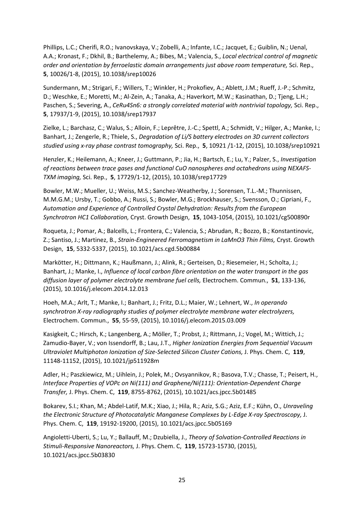Phillips, L.C.; Cherifi, R.O.; Ivanovskaya, V.; Zobelli, A.; Infante, I.C.; Jacquet, E.; Guiblin, N.; Uenal, A.A.; Kronast, F.; Dkhil, B.; Barthelemy, A.; Bibes, M.; Valencia, S., *Local electrical control of magnetic order and orientation by ferroelastic domain arrangements just above room temperature,* Sci. Rep., **5**, 10026/1-8, (2015), 10.1038/srep10026

Sundermann, M.; Strigari, F.; Willers, T.; Winkler, H.; Prokofiev, A.; Ablett, J.M.; Rueff, J.-P.; Schmitz, D.; Weschke, E.; Moretti, M.; Al-Zein, A.; Tanaka, A.; Haverkort, M.W.; Kasinathan, D.; Tjeng, L.H.; Paschen, S.; Severing, A., *CeRu4Sn6: a strongly correlated material with nontrivial topology,* Sci. Rep., **5**, 17937/1-9, (2015), 10.1038/srep17937

Zielke, L.; Barchasz, C.; Walus, S.; Alloin, F.; Leprêtre, J.-C.; Spettl, A.; Schmidt, V.; Hilger, A.; Manke, I.; Banhart, J.; Zengerle, R.; Thiele, S., *Degradation of Li/S battery electrodes on 3D current collectors studied using x-ray phase contrast tomography,* Sci. Rep., **5**, 10921 /1-12, (2015), 10.1038/srep10921

Henzler, K.; Heilemann, A.; Kneer, J.; Guttmann, P.; Jia, H.; Bartsch, E.; Lu, Y.; Palzer, S., *Investigation of reactions between trace gases and functional CuO nanospheres and octahedrons using NEXAFS-TXM imaging,* Sci. Rep., **5**, 17729/1-12, (2015), 10.1038/srep17729

Bowler, M.W.; Mueller, U.; Weiss, M.S.; Sanchez-Weatherby, J.; Sorensen, T.L.-M.; Thunnissen, M.M.G.M.; Ursby, T.; Gobbo, A.; Russi, S.; Bowler, M.G.; Brockhauser, S.; Svensson, O.; Cipriani, F., *Automation and Experience of Controlled Crystal Dehydration: Results from the European Synchrotron HC1 Collaboration,* Cryst. Growth Design, **15**, 1043-1054, (2015), 10.1021/cg500890r

Roqueta, J.; Pomar, A.; Balcells, L.; Frontera, C.; Valencia, S.; Abrudan, R.; Bozzo, B.; Konstantinovic, Z.; Santiso, J.; Martinez, B., *Strain-Engineered Ferromagnetism in LaMnO3 Thin Films,* Cryst. Growth Design, **15**, 5332-5337, (2015), 10.1021/acs.cgd.5b00884

Markötter, H.; Dittmann, K.; Haußmann, J.; Alink, R.; Gerteisen, D.; Riesemeier, H.; Scholta, J.; Banhart, J.; Manke, I., *Influence of local carbon fibre orientation on the water transport in the gas diffusion layer of polymer electrolyte membrane fuel cells,* Electrochem. Commun., **51**, 133-136, (2015), 10.1016/j.elecom.2014.12.013

Hoeh, M.A.; Arlt, T.; Manke, I.; Banhart, J.; Fritz, D.L.; Maier, W.; Lehnert, W., *In operando synchrotron X-ray radiography studies of polymer electrolyte membrane water electrolyzers,*  Electrochem. Commun., **55**, 55-59, (2015), 10.1016/j.elecom.2015.03.009

Kasigkeit, C.; Hirsch, K.; Langenberg, A.; Möller, T.; Probst, J.; Rittmann, J.; Vogel, M.; Wittich, J.; Zamudio-Bayer, V.; von Issendorff, B.; Lau, J.T., *Higher Ionization Energies from Sequential Vacuum Ultraviolet Multiphoton Ionization of Size-Selected Silicon Cluster Cations,* J. Phys. Chem. C, **119**, 11148-11152, (2015), 10.1021/jp511928m

Adler, H.; Paszkiewicz, M.; Uihlein, J.; Polek, M.; Ovsyannikov, R.; Basova, T.V.; Chasse, T.; Peisert, H., *Interface Properties of VOPc on Ni(111) and Graphene/Ni(111): Orientation-Dependent Charge Transfer,* J. Phys. Chem. C, **119**, 8755-8762, (2015), 10.1021/acs.jpcc.5b01485

Bokarev, S.I.; Khan, M.; Abdel-Latif, M.K.; Xiao, J.; Hila, R.; Aziz, S.G.; Aziz, E.F.; Kühn, O., *Unraveling the Electronic Structure of Photocatalytic Manganese Complexes by L-Edge X-ray Spectroscopy,* J. Phys. Chem. C, **119**, 19192-19200, (2015), 10.1021/acs.jpcc.5b05169

Angioletti-Uberti, S.; Lu, Y.; Ballauff, M.; Dzubiella, J., *Theory of Solvation-Controlled Reactions in Stimuli-Responsive Nanoreactors,* J. Phys. Chem. C, **119**, 15723-15730, (2015), 10.1021/acs.jpcc.5b03830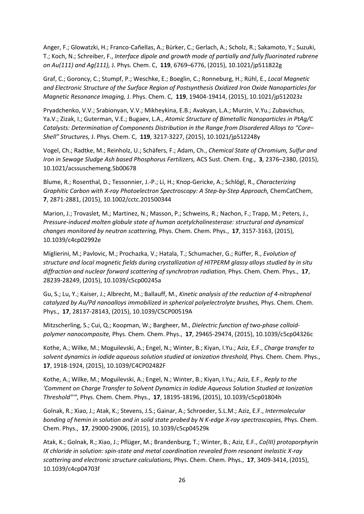Anger, F.; Glowatzki, H.; Franco-Cañellas, A.; Bürker, C.; Gerlach, A.; Scholz, R.; Sakamoto, Y.; Suzuki, T.; Koch, N.; Schreiber, F., *Interface dipole and growth mode of partially and fully fluorinated rubrene on Au(111) and Ag(111),* J. Phys. Chem. C, **119**, 6769–6776, (2015), 10.1021/jp511822g

Graf, C.; Goroncy, C.; Stumpf, P.; Weschke, E.; Boeglin, C.; Ronneburg, H.; Rühl, E., *Local Magnetic and Electronic Structure of the Surface Region of Postsynthesis Oxidized Iron Oxide Nanoparticles for Magnetic Resonance Imaging,* J. Phys. Chem. C, **119**, 19404-19414, (2015), 10.1021/jp512023z

Pryadchenko, V.V.; Srabionyan, V.V.; Mikheykina, E.B.; Avakyan, L.A.; Murzin, V.Yu.; Zubavichus, Ya.V.; Zizak, I.; Guterman, V.E.; Bugaev, L.A., *Atomic Structure of Bimetallic Nanoparticles in PtAg/C Catalysts: Determination of Components Distribution in the Range from Disordered Alloys to "Core– Shell" Structures,* J. Phys. Chem. C, **119**, 3217-3227, (2015), 10.1021/jp512248y

Vogel, Ch.; Radtke, M.; Reinholz, U.; Schäfers, F.; Adam, Ch., *Chemical State of Chromium, Sulfur and Iron in Sewage Sludge Ash based Phosphorus Fertilizers,* ACS Sust. Chem. Eng., **3**, 2376–2380, (2015), 10.1021/acssuschemeng.5b00678

Blume, R.; Rosenthal, D.; Tessonnier, J.-P.; Li, H.; Knop-Gericke, A.; Schlögl, R., *Characterizing Graphitic Carbon with X-ray Photoelectron Spectroscopy: A Step-by-Step Approach,* ChemCatChem, **7**, 2871-2881, (2015), 10.1002/cctc.201500344

Marion, J.; Trovaslet, M.; Martinez, N.; Masson, P.; Schweins, R.; Nachon, F.; Trapp, M.; Peters, J., *Pressure-induced molten globule state of human acetylcholinesterase: structural and dynamical changes monitored by neutron scattering,* Phys. Chem. Chem. Phys., **17**, 3157-3163, (2015), 10.1039/c4cp02992e

Miglierini, M.; Pavlovic, M.; Prochazka, V.; Hatala, T.; Schumacher, G.; Rüffer, R., *Evolution of structure and local magnetic fields during crystallization of HITPERM glassy alloys studied by in situ diffraction and nuclear forward scattering of synchrotron radiation,* Phys. Chem. Chem. Phys., **17**, 28239-28249, (2015), 10.1039/c5cp00245a

Gu, S.; Lu, Y.; Kaiser, J.; Albrecht, M.; Ballauff, M., *Kinetic analysis of the reduction of 4-nitrophenol*  catalyzed by Au/Pd nanoalloys immobilized in spherical polyelectrolyte brushes, Phys. Chem. Chem. Phys., **17**, 28137-28143, (2015), 10.1039/C5CP00519A

Mitzscherling, S.; Cui, Q.; Koopman, W.; Bargheer, M., *Dielectric function of two-phase colloidpolymer nanocomposite,* Phys. Chem. Chem. Phys., **17**, 29465-29474, (2015), 10.1039/c5cp04326c

Kothe, A.; Wilke, M.; Moguilevski, A.; Engel, N.; Winter, B.; Kiyan, I.Yu.; Aziz, E.F., *Charge transfer to solvent dynamics in iodide aqueous solution studied at ionization threshold,* Phys. Chem. Chem. Phys., **17**, 1918-1924, (2015), 10.1039/C4CP02482F

Kothe, A.; Wilke, M.; Moguilevski, A.; Engel, N.; Winter, B.; Kiyan, I.Yu.; Aziz, E.F., *Reply to the 'Comment on Charge Transfer to Solvent Dynamics in Iodide Aqueous Solution Studied at Ionization Threshold"'",* Phys. Chem. Chem. Phys., **17**, 18195-18196, (2015), 10.1039/c5cp01804h

Golnak, R.; Xiao, J.; Atak, K.; Stevens, J.S.; Gainar, A.; Schroeder, S.L.M.; Aziz, E.F., *Intermolecular bonding of hemin in solution and in solid state probed by N K-edge X-ray spectroscopies, Phys. Chem.* Chem. Phys., **17**, 29000-29006, (2015), 10.1039/c5cp04529k

Atak, K.; Golnak, R.; Xiao, J.; Pflüger, M.; Brandenburg, T.; Winter, B.; Aziz, E.F., *Co(III) protoporphyrin IX chloride in solution: spin-state and metal coordination revealed from resonant inelastic X-ray scattering and electronic structure calculations,* Phys. Chem. Chem. Phys., **17**, 3409-3414, (2015), 10.1039/c4cp04703f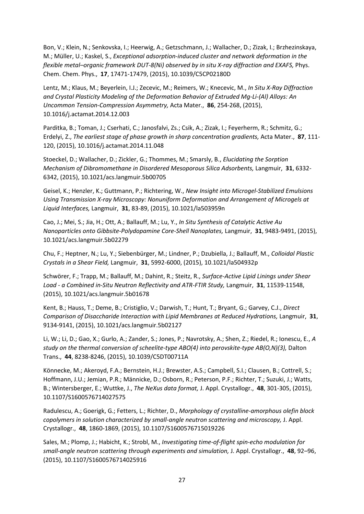Bon, V.; Klein, N.; Senkovska, I.; Heerwig, A.; Getzschmann, J.; Wallacher, D.; Zizak, I.; Brzhezinskaya, M.; Müller, U.; Kaskel, S., *Exceptional adsorption-induced cluster and network deformation in the flexible metal–organic framework DUT-8(Ni) observed by in situ X-ray diffraction and EXAFS,* Phys. Chem. Chem. Phys., **17**, 17471-17479, (2015), 10.1039/C5CP02180D

Lentz, M.; Klaus, M.; Beyerlein, I.J.; Zecevic, M.; Reimers, W.; Knecevic, M., *In Situ X-Ray Diffraction and Crystal Plasticity Modeling of the Deformation Behavior of Extruded Mg-Li-(Al) Alloys: An Uncommon Tension-Compression Asymmetry,* Acta Mater., **86**, 254-268, (2015), 10.1016/j.actamat.2014.12.003

Parditka, B.; Toman, J.; Cserhati, C.; Janosfalvi, Zs.; Csik, A.; Zizak, I.; Feyerherm, R.; Schmitz, G.; Erdelyi, Z., *The earliest stage of phase growth in sharp concentration gradients,* Acta Mater., **87**, 111- 120, (2015), 10.1016/j.actamat.2014.11.048

Stoeckel, D.; Wallacher, D.; Zickler, G.; Thommes, M.; Smarsly, B., *Elucidating the Sorption Mechanism of Dibromomethane in Disordered Mesoporous Silica Adsorbents, Langmuir, 31, 6332-*6342, (2015), 10.1021/acs.langmuir.5b00705

Geisel, K.; Henzler, K.; Guttmann, P.; Richtering, W., *New Insight into Microgel-Stabilized Emulsions Using Transmission X-ray Microscopy: Nonuniform Deformation and Arrangement of Microgels at Liquid Interfaces,* Langmuir, **31**, 83-89, (2015), 10.1021/la503959n

Cao, J.; Mei, S.; Jia, H.; Ott, A.; Ballauff, M.; Lu, Y., *In Situ Synthesis of Catalytic Active Au Nanoparticles onto Gibbsite-Polydopamine Core-Shell Nanoplates,* Langmuir, **31**, 9483-9491, (2015), 10.1021/acs.langmuir.5b02279

Chu, F.; Heptner, N.; Lu, Y.; Siebenbürger, M.; Lindner, P.; Dzubiella, J.; Ballauff, M., *Colloidal Plastic Crystals in a Shear Field,* Langmuir, **31**, 5992-6000, (2015), 10.1021/la504932p

Schwörer, F.; Trapp, M.; Ballauff, M.; Dahint, R.; Steitz, R., *Surface-Active Lipid Linings under Shear Load - a Combined in-Situ Neutron Reflectivity and ATR-FTIR Study,* Langmuir, **31**, 11539-11548, (2015), 10.1021/acs.langmuir.5b01678

Kent, B.; Hauss, T.; Deme, B.; Cristiglio, V.; Darwish, T.; Hunt, T.; Bryant, G.; Garvey, C.J., *Direct Comparison of Disaccharide Interaction with Lipid Membranes at Reduced Hydrations,* Langmuir, **31**, 9134-9141, (2015), 10.1021/acs.langmuir.5b02127

Li, W.; Li, D.; Gao, X.; Gurlo, A.; Zander, S.; Jones, P.; Navrotsky, A.; Shen, Z.; Riedel, R.; Ionescu, E., *A study on the thermal conversion of scheelite-type ABO(4) into perovskite-type AB(O,N)(3),* Dalton Trans., **44**, 8238-8246, (2015), 10.1039/C5DT00711A

Könnecke, M.; Akeroyd, F.A.; Bernstein, H.J.; Brewster, A.S.; Campbell, S.I.; Clausen, B.; Cottrell, S.; Hoffmann, J.U.; Jemian, P.R.; Männicke, D.; Osborn, R.; Peterson, P.F.; Richter, T.; Suzuki, J.; Watts, B.; Wintersberger, E.; Wuttke, J., *The NeXus data format,* J. Appl. Crystallogr., **48**, 301-305, (2015), 10.1107/S1600576714027575

Radulescu, A.; Goerigk, G.; Fetters, L.; Richter, D., *Morphology of crystalline-amorphous olefin block copolymers in solution characterized by small-angle neutron scattering and microscopy,* J. Appl. Crystallogr., **48**, 1860-1869, (2015), 10.1107/S1600576715019226

Sales, M.; Plomp, J.; Habicht, K.; Strobl, M., *Investigating time-of-flight spin-echo modulation for small-angle neutron scattering through experiments and simulation,* J. Appl. Crystallogr., **48**, 92–96, (2015), 10.1107/S1600576714025916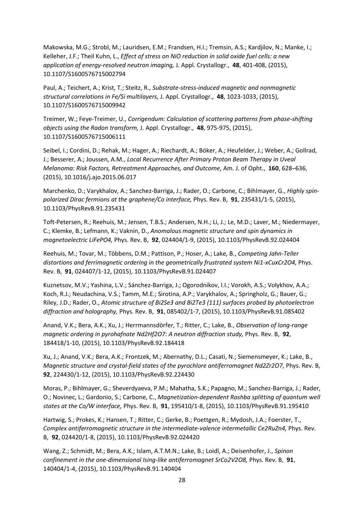Makowska, M.G.; Strobl, M.; Lauridsen, E.M.; Frandsen, H.I.; Tremsin, A.S.; Kardjilov, N.; Manke, I.; Kelleher, J.F.; Theil Kuhn, L., *Effect of stress on NiO reduction in solid oxide fuel cells: a new application of energy-resolved neutron imaging,* J. Appl. Crystallogr., **48**, 401-408, (2015), 10.1107/S1600576715002794

Paul, A.; Teichert, A.; Krist, T.; Steitz, R., *Substrate-stress-induced magnetic and nonmagnetic structural correlations in Fe/Si multilayers,* J. Appl. Crystallogr., **48**, 1023-1033, (2015), 10.1107/S1600576715009942

Treimer, W.; Feye-Treimer, U., *Corrigendum: Calculation of scattering patterns from phase-shifting objects using the Radon transform,* J. Appl. Crystallogr., **48**, 975-975, (2015), 10.1107/S1600576715006111

Seibel, I.; Cordini, D.; Rehak, M.; Hager, A.; Riechardt, A.; Böker, A.; Heufelder, J.; Weber, A.; Gollrad, J.; Besserer, A.; Joussen, A.M., *Local Recurrence After Primary Proton Beam Therapy in Uveal Melanoma: Risk Factors, Retreatment Approaches, and Outcome,* Am. J. of Opht., **160**, 628–636, (2015), 10.1016/j.ajo.2015.06.017

Marchenko, D.; Varykhalov, A.; Sanchez-Barriga, J.; Rader, O.; Carbone, C.; Bihlmayer, G., *Highly spinpolarized Dirac fermions at the graphene/Co interface,* Phys. Rev. B, **91**, 235431/1-5, (2015), 10.1103/PhysRevB.91.235431

Toft-Petersen, R.; Reehuis, M.; Jensen, T.B.S.; Andersen, N.H.; Li, J.; Le, M.D.; Laver, M.; Niedermayer, C.; Klemke, B.; Lefmann, K.; Vaknin, D., *Anomalous magnetic structure and spin dynamics in magnetoelectric LiFePO4,* Phys. Rev. B, **92**, 024404/1-9, (2015), 10.1103/PhysRevB.92.024404

Reehuis, M.; Tovar, M.; Többens, D.M.; Pattison, P.; Hoser, A.; Lake, B., *Competing Jahn-Teller distortions and ferrimagnetic ordering in the geometrically frustrated system Ni1-xCuxCr2O4,* Phys. Rev. B, **91**, 024407/1-12, (2015), 10.1103/PhysRevB.91.024407

Kuznetsov, M.V.; Yashina, L.V.; Sánchez-Barriga, J.; Ogorodnikov, I.I.; Vorokh, A.S.; Volykhov, A.A.; Koch, R.J.; Neudachina, V.S.; Tamm, M.E.; Sirotina, A.P.; Varykhalov, A.; Springholz, G.; Bauer, G.; Riley, J.D.; Rader, O., *Atomic structure of Bi2Se3 and Bi2Te3 (111) surfaces probed by photoelectron diffraction and holography,* Phys. Rev. B, **91**, 085402/1-7, (2015), 10.1103/PhysRevB.91.085402

Anand, V.K.; Bera, A.K.; Xu, J.; Herrmannsdörfer, T.; Ritter, C.; Lake, B., *Observation of long-range magnetic ordering in pyrohafnate Nd2Hf2O7: A neutron diffraction study, Phys. Rev. B, 92,* 184418/1-10, (2015), 10.1103/PhysRevB.92.184418

Xu, J.; Anand, V.K.; Bera, A.K.; Frontzek, M.; Abernathy, D.L.; Casati, N.; Siemensmeyer, K.; Lake, B., *Magnetic structure and crystal-field states of the pyrochlore antiferromagnet Nd2Zr2O7, Phys. Rev. B,* **92**, 224430/1-12, (2015), 10.1103/PhysRevB.92.224430

Moras, P.; Bihlmayer, G.; Sheverdyaeva, P.M.; Mahatha, S.K.; Papagno, M.; Sanchez-Barriga, J.; Rader, O.; Novinec, L.; Gardonio, S.; Carbone, C., *Magnetization-dependent Rashba splitting of quantum well states at the Co/W interface,* Phys. Rev. B, **91**, 195410/1-8, (2015), 10.1103/PhysRevB.91.195410

Hartwig, S.; Prokes, K.; Hansen, T.; Ritter, C.; Gerke, B.; Poettgen, R.; Mydosh, J.A.; Foerster, T., *Complex antiferromagnetic structure in the intermediate-valence intermetallic Ce2RuZn4, Phys. Rev.* B, **92**, 024420/1-8, (2015), 10.1103/PhysRevB.92.024420

Wang, Z.; Schmidt, M.; Bera, A.K.; Islam, A.T.M.N.; Lake, B.; Loidl, A.; Deisenhofer, J., *Spinon confinement in the one-dimensional Ising-like antiferromagnet SrCo2V2O8,* Phys. Rev. B, **91**, 140404/1-4, (2015), 10.1103/PhysRevB.91.140404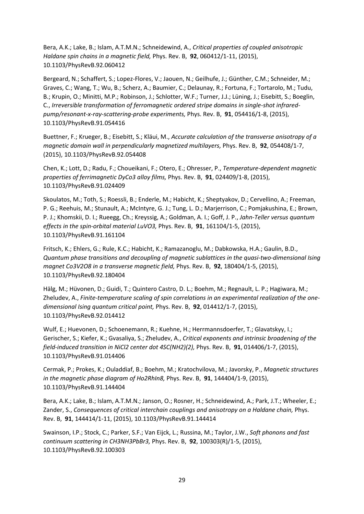Bera, A.K.; Lake, B.; Islam, A.T.M.N.; Schneidewind, A., *Critical properties of coupled anisotropic Haldane spin chains in a magnetic field,* Phys. Rev. B, **92**, 060412/1-11, (2015), 10.1103/PhysRevB.92.060412

Bergeard, N.; Schaffert, S.; Lopez-Flores, V.; Jaouen, N.; Geilhufe, J.; Günther, C.M.; Schneider, M.; Graves, C.; Wang, T.; Wu, B.; Scherz, A.; Baumier, C.; Delaunay, R.; Fortuna, F.; Tortarolo, M.; Tudu, B.; Krupin, O.; Minitti, M.P.; Robinson, J.; Schlotter, W.F.; Turner, J.J.; Lüning, J.; Eisebitt, S.; Boeglin, C., *Irreversible transformation of ferromagnetic ordered stripe domains in single-shot infraredpump/resonant-x-ray-scattering-probe experiments,* Phys. Rev. B, **91**, 054416/1-8, (2015), 10.1103/PhysRevB.91.054416

Buettner, F.; Krueger, B.; Eisebitt, S.; Kläui, M., *Accurate calculation of the transverse anisotropy of a magnetic domain wall in perpendicularly magnetized multilayers,* Phys. Rev. B, **92**, 054408/1-7, (2015), 10.1103/PhysRevB.92.054408

Chen, K.; Lott, D.; Radu, F.; Choueikani, F.; Otero, E.; Ohresser, P., *Temperature-dependent magnetic properties of ferrimagnetic DyCo3 alloy films,* Phys. Rev. B, **91**, 024409/1-8, (2015), 10.1103/PhysRevB.91.024409

Skoulatos, M.; Toth, S.; Roessli, B.; Enderle, M.; Habicht, K.; Sheptyakov, D.; Cervellino, A.; Freeman, P. G.; Reehuis, M.; Stunault, A.; McIntyre, G. J.; Tung, L. D.; Marjerrison, C.; Pomjakushina, E.; Brown, P. J.; Khomskii, D. I.; Rueegg, Ch.; Kreyssig, A.; Goldman, A. I.; Goff, J. P., *Jahn-Teller versus quantum effects in the spin-orbital material LuVO3,* Phys. Rev. B, **91**, 161104/1-5, (2015), 10.1103/PhysRevB.91.161104

Fritsch, K.; Ehlers, G.; Rule, K.C.; Habicht, K.; Ramazanoglu, M.; Dabkowska, H.A.; Gaulin, B.D., *Quantum phase transitions and decoupling of magnetic sublattices in the quasi-two-dimensional Ising magnet Co3V2O8 in a transverse magnetic field,* Phys. Rev. B, **92**, 180404/1-5, (2015), 10.1103/PhysRevB.92.180404

Hälg, M.; Hüvonen, D.; Guidi, T.; Quintero Castro, D. L.; Boehm, M.; Regnault, L. P.; Hagiwara, M.; Zheludev, A., *Finite-temperature scaling of spin correlations in an experimental realization of the onedimensional Ising quantum critical point,* Phys. Rev. B, **92**, 014412/1-7, (2015), 10.1103/PhysRevB.92.014412

Wulf, E.; Huevonen, D.; Schoenemann, R.; Kuehne, H.; Herrmannsdoerfer, T.; Glavatskyy, I.; Gerischer, S.; Kiefer, K.; Gvasaliya, S.; Zheludev, A., *Critical exponents and intrinsic broadening of the field-induced transition in NiCl2 center dot 4SC(NH2)(2),* Phys. Rev. B, **91**, 014406/1-7, (2015), 10.1103/PhysRevB.91.014406

Cermak, P.; Prokes, K.; Ouladdiaf, B.; Boehm, M.; Kratochvilova, M.; Javorsky, P., *Magnetic structures in the magnetic phase diagram of Ho2RhIn8,* Phys. Rev. B, **91**, 144404/1-9, (2015), 10.1103/PhysRevB.91.144404

Bera, A.K.; Lake, B.; Islam, A.T.M.N.; Janson, O.; Rosner, H.; Schneidewind, A.; Park, J.T.; Wheeler, E.; Zander, S., *Consequences of critical interchain couplings and anisotropy on a Haldane chain,* Phys. Rev. B, **91**, 144414/1-11, (2015), 10.1103/PhysRevB.91.144414

Swainson, I.P.; Stock, C.; Parker, S.F.; Van Eijck, L.; Russina, M.; Taylor, J.W., *Soft phonons and fast continuum scattering in CH3NH3PbBr3,* Phys. Rev. B, **92**, 100303(R)/1-5, (2015), 10.1103/PhysRevB.92.100303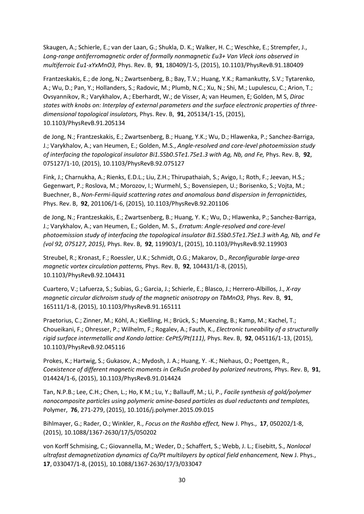Skaugen, A.; Schierle, E.; van der Laan, G.; Shukla, D. K.; Walker, H. C.; Weschke, E.; Strempfer, J., *Long-range antiferromagnetic order of formally nonmagnetic Eu3+ Van Vleck ions observed in multiferroic Eu1-xYxMnO3,* Phys. Rev. B, **91**, 180409/1-5, (2015), 10.1103/PhysRevB.91.180409

Frantzeskakis, E.; de Jong, N.; Zwartsenberg, B.; Bay, T.V.; Huang, Y.K.; Ramankutty, S.V.; Tytarenko, A.; Wu, D.; Pan, Y.; Hollanders, S.; Radovic, M.; Plumb, N.C.; Xu, N.; Shi, M.; Lupulescu, C.; Arion, T.; Ovsyannikov, R.; Varykhalov, A.; Eberhardt, W.; de Visser, A; van Heumen, E; Golden, M S, *Dirac states with knobs on: Interplay of external parameters and the surface electronic properties of threedimensional topological insulators,* Phys. Rev. B, **91**, 205134/1-15, (2015), 10.1103/PhysRevB.91.205134

de Jong, N.; Frantzeskakis, E.; Zwartsenberg, B.; Huang, Y.K.; Wu, D.; Hlawenka, P.; Sanchez-Barriga, J.; Varykhalov, A.; van Heumen, E.; Golden, M.S., *Angle-resolved and core-level photoemission study of interfacing the topological insulator Bi1.5Sb0.5Te1.7Se1.3 with Ag, Nb, and Fe,* Phys. Rev. B, **92**, 075127/1-10, (2015), 10.1103/PhysRevB.92.075127

Fink, J.; Charnukha, A.; Rienks, E.D.L.; Liu, Z.H.; Thirupathaiah, S.; Avigo, I.; Roth, F.; Jeevan, H.S.; Gegenwart, P.; Roslova, M.; Morozov, I.; Wurmehl, S.; Bovensiepen, U.; Borisenko, S.; Vojta, M.; Buechner, B., *Non-Fermi-liquid scattering rates and anomalous band dispersion in ferropnictides,*  Phys. Rev. B, **92**, 201106/1-6, (2015), 10.1103/PhysRevB.92.201106

de Jong, N.; Frantzeskakis, E.; Zwartsenberg, B.; Huang, Y. K.; Wu, D.; Hlawenka, P.; Sanchez-Barriga, J.; Varykhalov, A.; van Heumen, E.; Golden, M. S., *Erratum: Angle-resolved and core-level photoemission study of interfacing the topological insulator Bi1.5Sb0.5Te1.7Se1.3 with Ag, Nb, and Fe (vol 92, 075127, 2015),* Phys. Rev. B, **92**, 119903/1, (2015), 10.1103/PhysRevB.92.119903

Streubel, R.; Kronast, F.; Roessler, U.K.; Schmidt, O.G.; Makarov, D., *Reconfigurable large-area magnetic vortex circulation patterns,* Phys. Rev. B, **92**, 104431/1-8, (2015), 10.1103/PhysRevB.92.104431

Cuartero, V.; Lafuerza, S.; Subias, G.; Garcia, J.; Schierle, E.; Blasco, J.; Herrero-Albillos, J., *X-ray magnetic circular dichroism study of the magnetic anisotropy on TbMnO3,* Phys. Rev. B, **91**, 165111/1-8, (2015), 10.1103/PhysRevB.91.165111

Praetorius, C.; Zinner, M.; Köhl, A.; Kießling, H.; Brück, S.; Muenzing, B.; Kamp, M.; Kachel, T.; Choueikani, F.; Ohresser, P.; Wilhelm, F.; Rogalev, A.; Fauth, K., *Electronic tuneability of a structurally rigid surface intermetallic and Kondo lattice: CePt5/Pt(111),* Phys. Rev. B, **92**, 045116/1-13, (2015), 10.1103/PhysRevB.92.045116

Prokes, K.; Hartwig, S.; Gukasov, A.; Mydosh, J. A.; Huang, Y. -K.; Niehaus, O.; Poettgen, R., *Coexistence of different magnetic moments in CeRuSn probed by polarized neutrons,* Phys. Rev. B, **91**, 014424/1-6, (2015), 10.1103/PhysRevB.91.014424

Tan, N.P.B.; Lee, C.H.; Chen, L.; Ho, K M.; Lu, Y.; Ballauff, M.; Li, P., *Facile synthesis of gold/polymer nanocomposite particles using polymeric amine-based particles as dual reductants and templates,*  Polymer, **76**, 271-279, (2015), 10.1016/j.polymer.2015.09.015

Bihlmayer, G.; Rader, O.; Winkler, R., *Focus on the Rashba effect,* New J. Phys., **17**, 050202/1-8, (2015), 10.1088/1367-2630/17/5/050202

von Korff Schmising, C.; Giovannella, M.; Weder, D.; Schaffert, S.; Webb, J. L.; Eisebitt, S., *Nonlocal ultrafast demagnetization dynamics of Co/Pt multilayers by optical field enhancement,* New J. Phys., **17**, 033047/1-8, (2015), 10.1088/1367-2630/17/3/033047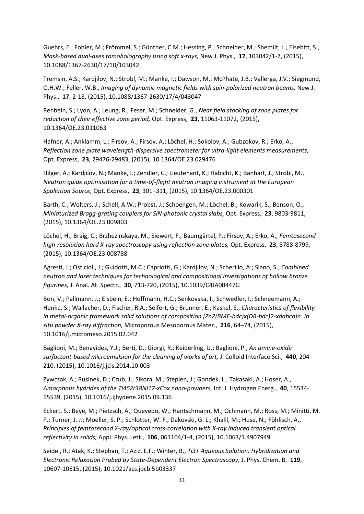Guehrs, E.; Fohler, M.; Frömmel, S.; Günther, C.M.; Hessing, P.; Schneider, M.; Shemilt, L.; Eisebitt, S., *Mask-based dual-axes tomoholography using soft x-rays,* New J. Phys., **17**, 103042/1-7, (2015), 10.1088/1367-2630/17/10/103042

Tremsin, A.S.; Kardjilov, N.; Strobl, M.; Manke, I.; Dawson, M.; McPhate, J.B.; Vallerga, J.V.; Siegmund, O.H.W.; Feller, W.B., *Imaging of dynamic magnetic fields with spin-polarized neutron beams,* New J. Phys., **17**, 2-18, (2015), 10.1088/1367-2630/17/4/043047

Rehbein, S.; Lyon, A.; Leung, R.; Feser, M.; Schneider, G., *Near field stacking of zone plates for reduction of their effective zone period,* Opt. Express, **23**, 11063-11072, (2015), 10.1364/OE.23.011063

Hafner, A.; Anklamm, L.; Firsov, A.; Firsov, A.; Löchel, H.; Sokolov, A.; Gubzokov, R.; Erko, A., *Reflection zone plate wavelength-dispersive spectrometer for ultra-light elements measurements,*  Opt. Express, **23**, 29476-29483, (2015), 10.1364/OE.23.029476

Hilger, A.; Kardjilov, N.; Manke, I.; Zendler, C.; Lieutenant, K.; Habicht, K.; Banhart, J.; Strobl, M., *Neutron guide optimisation for a time-of-flight neutron imaging instrument at the European Spallation Source,* Opt. Express, **23**, 301–311, (2015), 10.1364/OE.23.000301

Barth, C.; Wolters, J.; Schell, A.W.; Probst, J.; Schoengen, M.; Löchel, B.; Kowarik, S.; Benson, O., *Miniaturized Bragg-grating couplers for SiN-photonic crystal slabs,* Opt. Express, **23**, 9803-9811, (2015), 10.1364/OE.23.009803

Löchel, H.; Braig, C.; Brzhezinskaya, M.; Siewert, F.; Baumgärtel, P.; Firsov, A.; Erko, A., *Femtosecond high-resolution hard X-ray spectroscopy using reflection zone plates,* Opt. Express, **23**, 8788-8799, (2015), 10.1364/OE.23.008788

Agresti, J.; Osticioli, J.; Guidotti, M.C.; Capriotti, G.; Kardjilov, N.; Scherillo, A:; Siano, S., *Combined neutron and laser techniques for technological and compositional investigations of hollow bronze figurines,* J. Anal. At. Spectr., **30**, 713-720, (2015), 10.1039/C4JA00447G

Bon, V.; Pallmann, J.; Eisbein, E.; Hoffmann, H.C.; Senkovska, I.; Schwedler, I.; Schneemann, A.; Henke, S.; Wallacher, D.; Fischer, R.A.; Seifert, G.; Brunner, E.; Kaskel, S., *Characteristics of flexibility in metal-organic framework solid solutions of composition [Zn2(BME-bdc)x(DB-bdc)2-xdabco]n: In situ powder X-ray diffraction,* Microporous Mesoporous Mater., **216**, 64–74, (2015), 10.1016/j.micromeso.2015.02.042

Baglioni, M.; Benavides, Y.J.; Berti, D.; Giorgi, R.; Keiderling, U.; Baglioni, P., *An amine-oxide surfactant-based microemulsion for the cleaning of works of art,* J. Colloid Interface Sci., **440**, 204- 210, (2015), 10.1016/j.jcis.2014.10.003

Zywczak, A.; Rusinek, D.; Czub, J.; Sikora, M.; Stepien, J.; Gondek, L.; Takasaki, A.; Hoser, A., *Amorphous hydrides of the Ti45Zr38Ni17-xCox nano-powders,* Int. J. Hydrogen Energ., **40**, 15534- 15539, (2015), 10.1016/j.ijhydene.2015.09.136

Eckert, S.; Beye, M.; Pietzsch, A.; Quevedo, W.; Hantschmann, M.; Ochmann, M.; Ross, M.; Minitti, M. P.; Turner, J. J.; Moeller, S. P.; Schlotter, W. F.; Dakovski, G. L.; Khalil, M.; Huse, N.; Föhlisch, A., *Principles of femtosecond X-ray/optical cross-correlation with X-ray induced transient optical reflectivity in solids,* Appl. Phys. Lett., **106**, 061104/1-4, (2015), 10.1063/1.4907949

Seidel, R.; Atak, K.; Stephan, T.; Aziz, E.F.; Winter, B., *Ti3+ Aqueous Solution: Hybridization and Electronic Relaxation Probed by State-Dependent Electron Spectroscopy,* J. Phys. Chem. B, **119**, 10607-10615, (2015), 10.1021/acs.jpcb.5b03337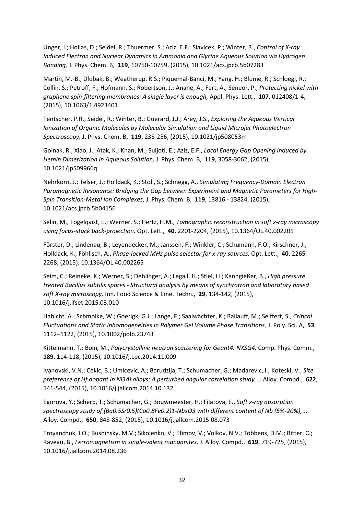Unger, I.; Hollas, D.; Seidel, R.; Thuermer, S.; Aziz, E.F.; Slavicek, P.; Winter, B., *Control of X-ray Induced Electron and Nuclear Dynamics in Ammonia and Glycine Aqueous Solution via Hydrogen Bonding,* J. Phys. Chem. B, **119**, 10750-10759, (2015), 10.1021/acs.jpcb.5b07283

Martin, M.-B.; Dlubak, B.; Weatherup, R.S.; Piquemal-Banci, M.; Yang, H.; Blume, R.; Schloegl, R.; Collin, S.; Petroff, F.; Hofmann, S.; Robertson, J.; Anane, A.; Fert, A.; Seneor, P., *Protecting nickel with graphene spin-filtering membranes: A single layer is enough,* Appl. Phys. Lett., **107**, 012408/1-4, (2015), 10.1063/1.4923401

Tentscher, P.R.; Seidel, R.; Winter, B.; Guerard, J.J.; Arey, J.S., *Exploring the Aqueous Vertical Ionization of Organic Molecules by Molecular Simulation and Liquid Microjet Photoelectron Spectroscopy,* J. Phys. Chem. B, **119**, 238-256, (2015), 10.1021/jp508053m

Golnak, R.; Xiao, J.; Atak, K.; Khan, M.; Suljoti, E.; Aziz, E.F., *Local Energy Gap Opening Induced by Hemin Dimerization in Aqueous Solution,* J. Phys. Chem. B, **119**, 3058-3062, (2015), 10.1021/jp509966q

Nehrkorn, J.; Telser, J.; Holldack, K.; Stoll, S.; Schnegg, A., *Simulating Frequency-Domain Electron Paramagnetic Resonance: Bridging the Gap between Experiment and Magnetic Parameters for High-Spin Transition-Metal Ion Complexes,* J. Phys. Chem. B, **119**, 13816 - 13824, (2015), 10.1021/acs.jpcb.5b04156

Selin, M.; Fogelqvist, E.; Werner, S.; Hertz, H.M., *Tomographic reconstruction in soft x-ray microscopy using focus-stack back-projection,* Opt. Lett., **40**, 2201-2204, (2015), 10.1364/OL.40.002201

Förster, D.; Lindenau, B.; Leyendecker, M.; Janssen, F.; Winkler, C.; Schumann, F.O.; Kirschner, J.; Holldack, K.; Föhlisch, A., *Phase-locked MHz pulse selector for x-ray sources,* Opt. Lett., **40**, 2265- 2268, (2015), 10.1364/OL.40.002265

Seim, C.; Reineke, K.; Werner, S.; Dehlinger, A.; Legall, H.; Stiel, H.; Kanngießer, B., *High pressure treated Bacillus subtilis spores - Structural analysis by means of synchrotron and laboratory based soft X-ray microscopy,* Inn. Food Science & Eme. Techn., **29**, 134-142, (2015), 10.1016/j.ifset.2015.03.010

Habicht, A.; Schmolke, W.; Goerigk, G.J.; Lange, F.; Saalwächter, K.; Ballauff, M.; Seiffert, S., *Critical Fluctuations and Static Inhomogeneities in Polymer Gel Volume Phase Transitions,* J. Poly. Sci. A, **53**, 1112–1122, (2015), 10.1002/polb.23743

Kittelmann, T.; Boin, M., *Polycrystalline neutron scattering for Geant4: NXSG4,* Comp. Phys. Comm., **189**, 114-118, (2015), 10.1016/j.cpc.2014.11.009

Ivanovski, V.N.; Cekic, B.; Umicevic, A.; Barudzija, T.; Schumacher, G.; Madarevic, I.; Koteski, V., *Site preference of Hf dopant in Ni3Al alloys: A perturbed angular correlation study,* J. Alloy. Compd., **622**, 541-544, (2015), 10.1016/j.jallcom.2014.10.132

Egorova, Y.; Scherb, T.; Schumacher, G.; Bouwmeester, H.; Filatova, E., *Soft x-ray absorption spectroscopy study of (Ba0.5Sr0.5)(Co0.8Fe0.2)1-NbxO3 with different content of Nb (5%-20%),* J. Alloy. Compd., **650**, 848-852, (2015), 10.1016/j.jallcom.2015.08.073

Troyanchuk, I.O.; Bushinsky, M.V.; Sikolenko, V.; Efimov, V.; Volkov, N.V.; Többens, D.M.; Ritter, C.; Raveau, B., *Ferromagnetism in single-valent manganites,* J. Alloy. Compd., **619**, 719-725, (2015), 10.1016/j.jallcom.2014.08.236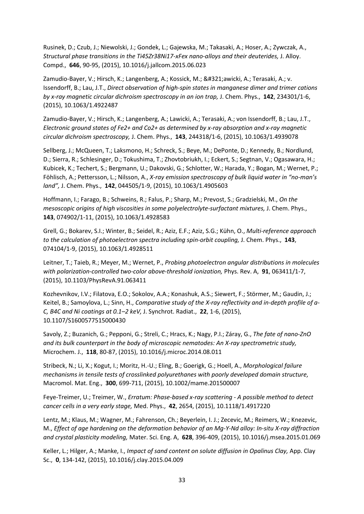Rusinek, D.; Czub, J.; Niewolski, J.; Gondek, L.; Gajewska, M.; Takasaki, A.; Hoser, A.; Zywczak, A., *Structural phase transitions in the Ti45Zr38Ni17-xFex nano-alloys and their deuterides,* J. Alloy. Compd., **646**, 90-95, (2015), 10.1016/j.jallcom.2015.06.023

Zamudio-Bayer, V.; Hirsch, K.; Langenberg, A.; Kossick, M.; Ławicki, A.; Terasaki, A.; v. Issendorff, B.; Lau, J.T., *Direct observation of high-spin states in manganese dimer and trimer cations by x-ray magnetic circular dichroism spectroscopy in an ion trap,* J. Chem. Phys., **142**, 234301/1-6, (2015), 10.1063/1.4922487

Zamudio-Bayer, V.; Hirsch, K.; Langenberg, A.; Lawicki, A.; Terasaki, A.; von Issendorff, B.; Lau, J.T., *Electronic ground states of Fe2+ and Co2+ as determined by x-ray absorption and x-ray magnetic circular dichroism spectroscopy,* J. Chem. Phys., **143**, 244318/1-6, (2015), 10.1063/1.4939078

Sellberg, J.; McQueen, T.; Laksmono, H.; Schreck, S.; Beye, M.; DePonte, D.; Kennedy, B.; Nordlund, D.; Sierra, R.; Schlesinger, D.; Tokushima, T.; Zhovtobriukh, I.; Eckert, S.; Segtnan, V.; Ogasawara, H.; Kubicek, K.; Techert, S.; Bergmann, U.; Dakovski, G.; Schlotter, W.; Harada, Y.; Bogan, M.; Wernet, P.; Föhlisch, A.; Pettersson, L.; Nilsson, A., *X-ray emission spectroscopy of bulk liquid water in "no-man's land",* J. Chem. Phys., **142**, 044505/1-9, (2015), 10.1063/1.4905603

Hoffmann, I.; Farago, B.; Schweins, R.; Falus, P.; Sharp, M.; Prevost, S.; Gradzielski, M., *On the mesoscopic origins of high viscosities in some polyelectrolyte-surfactant mixtures, J. Chem. Phys.,* **143**, 074902/1-11, (2015), 10.1063/1.4928583

Grell, G.; Bokarev, S.I.; Winter, B.; Seidel, R.; Aziz, E.F.; Aziz, S.G.; Kühn, O., *Multi-reference approach to the calculation of photoelectron spectra including spin-orbit coupling,* J. Chem. Phys., **143**, 074104/1-9, (2015), 10.1063/1.4928511

Leitner, T.; Taieb, R.; Meyer, M.; Wernet, P., *Probing photoelectron angular distributions in molecules with polarization-controlled two-color above-threshold ionization,* Phys. Rev. A, **91**, 063411/1-7, (2015), 10.1103/PhysRevA.91.063411

Kozhevnikov, I.V.; Filatova, E.O.; Sokolov, A.A.; Konashuk, A.S.; Siewert, F.; Störmer, M.; Gaudin, J.; Keitel, B.; Samoylova, L.; Sinn, H., *Comparative study of the X-ray reflectivity and in-depth profile of a-C, B4C and Ni coatings at 0.1–2 keV,* J. Synchrot. Radiat., **22**, 1-6, (2015), 10.1107/S1600577515000430

Savoly, Z.; Buzanich, G.; Pepponi, G.; Streli, C.; Hracs, K.; Nagy, P.I.; Záray, G., *The fate of nano-ZnO and its bulk counterpart in the body of microscopic nematodes: An X-ray spectrometric study,*  Microchem. J., **118**, 80-87, (2015), 10.1016/j.microc.2014.08.011

Stribeck, N.; Li, X.; Kogut, I.; Moritz, H.-U.; Eling, B.; Goerigk, G.; Hoell, A., *Morphological failure mechanisms in tensile tests of crosslinked polyurethanes with poorly developed domain structure,*  Macromol. Mat. Eng., **300**, 699-711, (2015), 10.1002/mame.201500007

Feye-Treimer, U.; Treimer, W., *Erratum: Phase-based x-ray scattering - A possible method to detect cancer cells in a very early stage,* Med. Phys., **42**, 2654, (2015), 10.1118/1.4917220

Lentz, M.; Klaus, M.; Wagner, M.; Fahrenson, Ch.; Beyerlein, I. J.; Zecevic, M.; Reimers, W.; Knezevic, M., *Effect of age hardening on the deformation behavior of an Mg-Y-Nd alloy: In-situ X-ray diffraction and crystal plasticity modeling,* Mater. Sci. Eng. A, **628**, 396-409, (2015), 10.1016/j.msea.2015.01.069

Keller, L.; Hilger, A.; Manke, I., *Impact of sand content on solute diffusion in Opalinus Clay,* App. Clay Sc., **0**, 134-142, (2015), 10.1016/j.clay.2015.04.009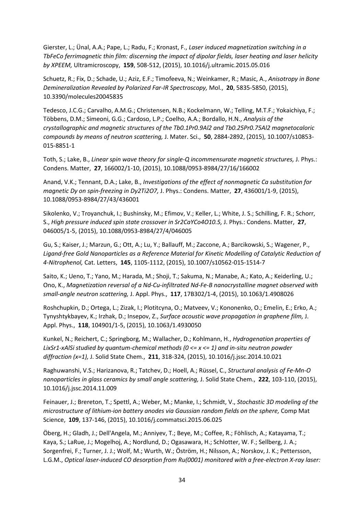Gierster, L.; Ünal, A.A.; Pape, L.; Radu, F.; Kronast, F., *Laser induced magnetization switching in a TbFeCo ferrimagnetic thin film: discerning the impact of dipolar fields, laser heating and laser helicity by XPEEM,* Ultramicroscopy, **159**, 508-512, (2015), 10.1016/j.ultramic.2015.05.016

Schuetz, R.; Fix, D.; Schade, U.; Aziz, E.F.; Timofeeva, N.; Weinkamer, R.; Masic, A., *Anisotropy in Bone Demineralization Revealed by Polarized Far-IR Spectroscopy,* Mol., **20**, 5835-5850, (2015), 10.3390/molecules20045835

Tedesco, J.C.G.; Carvalho, A.M.G.; Christensen, N.B.; Kockelmann, W.; Telling, M.T.F.; Yokaichiya, F.; Többens, D.M.; Simeoni, G.G.; Cardoso, L.P.; Coelho, A.A.; Bordallo, H.N., *Analysis of the crystallographic and magnetic structures of the Tb0.1Pr0.9Al2 and Tb0.25Pr0.75Al2 magnetocaloric compounds by means of neutron scattering,* J. Mater. Sci., **50**, 2884-2892, (2015), 10.1007/s10853- 015-8851-1

Toth, S.; Lake, B., *Linear spin wave theory for single-Q incommensurate magnetic structures,* J. Phys.: Condens. Matter, **27**, 166002/1-10, (2015), 10.1088/0953-8984/27/16/166002

Anand, V.K.; Tennant, D.A.; Lake, B., *Investigations of the effect of nonmagnetic Ca substitution for magnetic Dy on spin-freezing in Dy2Ti2O7,* J. Phys.: Condens. Matter, **27**, 436001/1-9, (2015), 10.1088/0953-8984/27/43/436001

Sikolenko, V.; Troyanchuk, I.; Bushinsky, M.; Efimov, V.; Keller, L.; White, J. S.; Schilling, F. R.; Schorr, S., *High pressure induced spin state crossover in Sr2CaYCo4O10.5,* J. Phys.: Condens. Matter, **27**, 046005/1-5, (2015), 10.1088/0953-8984/27/4/046005

Gu, S.; Kaiser, J.; Marzun, G.; Ott, A.; Lu, Y.; Ballauff, M.; Zaccone, A.; Barcikowski, S.; Wagener, P., *Ligand-free Gold Nanoparticles as a Reference Material for Kinetic Modelling of Catalytic Reduction of 4-Nitrophenol,* Cat. Letters, **145**, 1105-1112, (2015), 10.1007/s10562-015-1514-7

Saito, K.; Ueno, T.; Yano, M.; Harada, M.; Shoji, T.; Sakuma, N.; Manabe, A.; Kato, A.; Keiderling, U.; Ono, K., *Magnetization reversal of a Nd-Cu-infiltrated Nd-Fe-B nanocrystalline magnet observed with small-angle neutron scattering,* J. Appl. Phys., **117**, 17B302/1-4, (2015), 10.1063/1.4908026

Roshchupkin, D.; Ortega, L.; Zizak, I.; Plotitcyna, O.; Matveev, V.; Kononenko, O.; Emelin, E.; Erko, A.; Tynyshtykbayev, K.; Irzhak, D.; Insepov, Z., *Surface acoustic wave propagation in graphene film,* J. Appl. Phys., **118**, 104901/1-5, (2015), 10.1063/1.4930050

Kunkel, N.; Reichert, C.; Springborg, M.; Wallacher, D.; Kohlmann, H., *Hydrogenation properties of LixSr1-xAlSi studied by quantum-chemical methods (0 <= x <= 1) and in-situ neutron powder diffraction (x=1),* J. Solid State Chem., **211**, 318-324, (2015), 10.1016/j.jssc.2014.10.021

Raghuwanshi, V.S.; Harizanova, R.; Tatchev, D.; Hoell, A.; Rüssel, C., *Structural analysis of Fe-Mn-O nanoparticles in glass ceramics by small angle scattering,* J. Solid State Chem., **222**, 103-110, (2015), 10.1016/j.jssc.2014.11.009

Feinauer, J.; Brereton, T.; Spettl, A.; Weber, M.; Manke, I.; Schmidt, V., *Stochastic 3D modeling of the microstructure of lithium-ion battery anodes via Gaussian random fields on the sphere,* Comp Mat Science, **109**, 137-146, (2015), 10.1016/j.commatsci.2015.06.025

Öberg, H.; Gladh, J.; Dell'Angela, M.; Anniyev, T.; Beye, M.; Coffee, R.; Föhlisch, A.; Katayama, T.; Kaya, S.; LaRue, J.; Mogelhoj, A.; Nordlund, D.; Ogasawara, H.; Schlotter, W. F.; Sellberg, J. A.; Sorgenfrei, F.; Turner, J. J.; Wolf, M.; Wurth, W.; Öström, H.; Nilsson, A.; Norskov, J. K.; Pettersson, L.G.M., *Optical laser-induced CO desorption from Ru(0001) monitored with a free-electron X-ray laser:*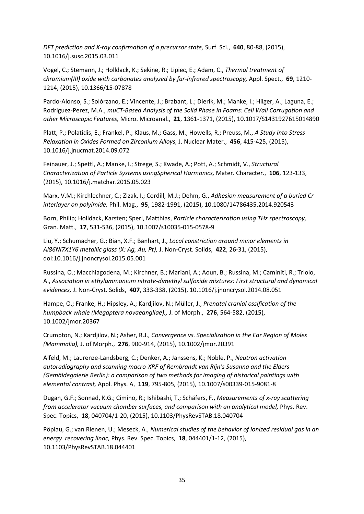*DFT prediction and X-ray confirmation of a precursor state,* Surf. Sci., **640**, 80-88, (2015), 10.1016/j.susc.2015.03.011

Vogel, C.; Stemann, J.; Holldack, K.; Sekine, R.; Lipiec, E.; Adam, C., *Thermal treatment of chromium(III) oxide with carbonates analyzed by far-infrared spectroscopy,* Appl. Spect., **69**, 1210- 1214, (2015), 10.1366/15-07878

Pardo-Alonso, S.; Solórzano, E.; Vincente, J.; Brabant, L.; Dierik, M.; Manke, I.; Hilger, A.; Laguna, E.; Rodriguez-Perez, M.A., *muCT-Based Analysis of the Solid Phase in Foams: Cell Wall Corrugation and other Microscopic Features,* Micro. Microanal., **21**, 1361-1371, (2015), 10.1017/S1431927615014890

Platt, P.; Polatidis, E.; Frankel, P.; Klaus, M.; Gass, M.; Howells, R.; Preuss, M., *A Study into Stress Relaxation in Oxides Formed on Zirconium Alloys,* J. Nuclear Mater., **456**, 415-425, (2015), 10.1016/j.jnucmat.2014.09.072

Feinauer, J.; Spettl, A.; Manke, I.; Strege, S.; Kwade, A.; Pott, A.; Schmidt, V., *Structural Characterization of Particle Systems usingSpherical Harmonics,* Mater. Character., **106**, 123-133, (2015), 10.1016/j.matchar.2015.05.023

Marx, V.M.; Kirchlechner, C.; Zizak, I.; Cordill, M.J.; Dehm, G., *Adhesion measurement of a buried Cr interlayer on polyimide,* Phil. Mag., **95**, 1982-1991, (2015), 10.1080/14786435.2014.920543

Born, Philip; Holldack, Karsten; Sperl, Matthias, *Particle characterization using THz spectroscopy,*  Gran. Matt., **17**, 531-536, (2015), 10.1007/s10035-015-0578-9

Liu, Y.; Schumacher, G.; Bian, X.F.; Banhart, J., *Local constriction around minor elements in Al86Ni7X1Y6 metallic glass (X: Ag, Au, Pt),* J. Non-Cryst. Solids, **422**, 26-31, (2015), doi:10.1016/j.jnoncrysol.2015.05.001

Russina, O.; Macchiagodena, M.; Kirchner, B.; Mariani, A.; Aoun, B.; Russina, M.; Caminiti, R.; Triolo, A., *Association in ethylammonium nitrate-dimethyl sulfoxide mixtures: First structural and dynamical evidences,* J. Non-Cryst. Solids, **407**, 333-338, (2015), 10.1016/j.jnoncrysol.2014.08.051

Hampe, O.; Franke, H.; Hipsley, A.; Kardjilov, N.; Müller, J., *Prenatal cranial ossification of the humpback whale (Megaptera novaeangliae).,* J. of Morph., **276**, 564-582, (2015), 10.1002/jmor.20367

Crumpton, N.; Kardjilov, N.; Asher, R.J., *Convergence vs. Specialization in the Ear Region of Moles (Mammalia),* J. of Morph., **276**, 900-914, (2015), 10.1002/jmor.20391

Alfeld, M.; Laurenze-Landsberg, C.; Denker, A.; Janssens, K.; Noble, P., *Neutron activation autoradiography and scanning macro-XRF of Rembrandt van Rijn's Susanna and the Elders (Gemäldegalerie Berlin): a comparison of two methods for imaging of historical paintings with elemental contrast,* Appl. Phys. A, **119**, 795-805, (2015), 10.1007/s00339-015-9081-8

Dugan, G.F.; Sonnad, K.G.; Cimino, R.; Ishibashi, T.; Schäfers, F., *Measurements of x-ray scattering from accelerator vacuum chamber surfaces, and comparison with an analytical model, Phys. Rev.* Spec. Topics, **18**, 040704/1-20, (2015), 10.1103/PhysRevSTAB.18.040704

Pöplau, G.; van Rienen, U.; Meseck, A., *Numerical studies of the behavior of ionized residual gas in an energy recovering linac,* Phys. Rev. Spec. Topics, **18**, 044401/1-12, (2015), 10.1103/PhysRevSTAB.18.044401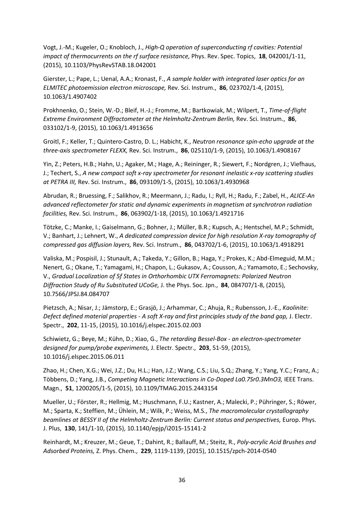Vogt, J.-M.; Kugeler, O.; Knobloch, J., *High-Q operation of superconducting rf cavities: Potential impact of thermocurrents on the rf surface resistance,* Phys. Rev. Spec. Topics, **18**, 042001/1-11, (2015), 10.1103/PhysRevSTAB.18.042001

Gierster, L.; Pape, L.; Uenal, A.A.; Kronast, F., *A sample holder with integrated laser optics for an ELMITEC photoemission electron microscope,* Rev. Sci. Instrum., **86**, 023702/1-4, (2015), 10.1063/1.4907402

Prokhnenko, O.; Stein, W.-D.; Bleif, H.-J.; Fromme, M.; Bartkowiak, M.; Wilpert, T., *Time-of-flight Extreme Environment Diffractometer at the Helmholtz-Zentrum Berlin,* Rev. Sci. Instrum., **86**, 033102/1-9, (2015), 10.1063/1.4913656

Groitl, F.; Keller, T.; Quintero-Castro, D. L.; Habicht, K., *Neutron resonance spin-echo upgrade at the three-axis spectrometer FLEXX,* Rev. Sci. Instrum., **86**, 025110/1-9, (2015), 10.1063/1.4908167

Yin, Z.; Peters, H.B.; Hahn, U.; Agaker, M.; Hage, A.; Reininger, R.; Siewert, F.; Nordgren, J.; Viefhaus, J.; Techert, S., *A new compact soft x-ray spectrometer for resonant inelastic x-ray scattering studies at PETRA III,* Rev. Sci. Instrum., **86**, 093109/1-5, (2015), 10.1063/1.4930968

Abrudan, R.; Bruessing, F.; Salikhov, R.; Meermann, J.; Radu, I.; Ryll, H.; Radu, F.; Zabel, H., *ALICE-An advanced reflectometer for static and dynamic experiments in magnetism at synchrotron radiation facilities,* Rev. Sci. Instrum., **86**, 063902/1-18, (2015), 10.1063/1.4921716

Tötzke, C.; Manke, I.; Gaiselmann, G.; Bohner, J.; Müller, B.R.; Kupsch, A.; Hentschel, M.P.; Schmidt, V.; Banhart, J.; Lehnert, W., *A dedicated compression device for high resolution X-ray tomography of compressed gas diffusion layers,* Rev. Sci. Instrum., **86**, 043702/1-6, (2015), 10.1063/1.4918291

Valiska, M.; Pospisil, J.; Stunault, A.; Takeda, Y.; Gillon, B.; Haga, Y.; Prokes, K.; Abd-Elmeguid, M.M.; Nenert, G.; Okane, T.; Yamagami, H.; Chapon, L.; Gukasov, A.; Cousson, A.; Yamamoto, E.; Sechovsky, V., *Gradual Localization of 5f States in Orthorhombic UTX Ferromagnets: Polarized Neutron Diffraction Study of Ru Substituted UCoGe,* J. the Phys. Soc. Jpn., **84**, 084707/1-8, (2015), 10.7566/JPSJ.84.084707

Pietzsch, A.; Nisar, J.; Jämstorp, E.; Grasjö, J.; Arhammar, C.; Ahuja, R.; Rubensson, J.-E., *Kaolinite: Defect defined material properties - A soft X-ray and first principles study of the band gap,* J. Electr. Spectr., **202**, 11-15, (2015), 10.1016/j.elspec.2015.02.003

Schiwietz, G.; Beye, M.; Kühn, D.; Xiao, G., *The retarding Bessel-Box - an electron-spectrometer designed for pump/probe experiments,* J. Electr. Spectr., **203**, 51-59, (2015), 10.1016/j.elspec.2015.06.011

Zhao, H.; Chen, X.G.; Wei, J.Z.; Du, H.L.; Han, J.Z.; Wang, C.S.; Liu, S.Q.; Zhang, Y.; Yang, Y.C.; Franz, A.; Többens, D.; Yang, J.B., *Competing Magnetic Interactions in Co-Doped La0.7Sr0.3MnO3,* IEEE Trans. Magn., **51**, 1200205/1-5, (2015), 10.1109/TMAG.2015.2443154

Mueller, U.; Förster, R.; Hellmig, M.; Huschmann, F.U.; Kastner, A.; Malecki, P.; Pühringer, S.; Röwer, M.; Sparta, K.; Steffien, M.; Ühlein, M.; Wilk, P.; Weiss, M.S., *The macromolecular crystallography*  beamlines at BESSY II of the Helmholtz-Zentrum Berlin: Current status and perspectives, Europ. Phys. J. Plus, **130**, 141/1-10, (2015), 10.1140/epjp/i2015-15141-2

Reinhardt, M.; Kreuzer, M.; Geue, T.; Dahint, R.; Ballauff, M.; Steitz, R., *Poly-acrylic Acid Brushes and Adsorbed Proteins,* Z. Phys. Chem., **229**, 1119-1139, (2015), 10.1515/zpch-2014-0540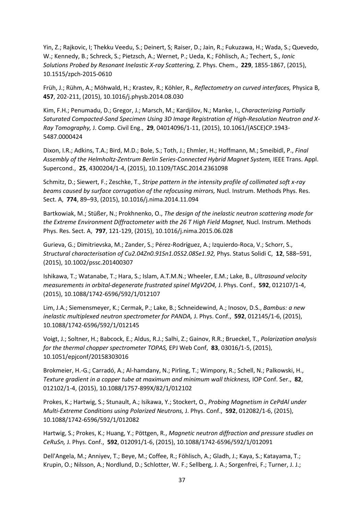Yin, Z.; Rajkovic, I; Thekku Veedu, S.; Deinert, S; Raiser, D.; Jain, R.; Fukuzawa, H.; Wada, S.; Quevedo, W.; Kennedy, B.; Schreck, S.; Pietzsch, A.; Wernet, P.; Ueda, K.; Föhlisch, A.; Techert, S., *Ionic Solutions Probed by Resonant Inelastic X-ray Scattering,* Z. Phys. Chem., **229**, 1855-1867, (2015), 10.1515/zpch-2015-0610

Früh, J.; Rühm, A.; Möhwald, H.; Krastev, R.; Köhler, R., *Reflectometry on curved interfaces,* Physica B, **457**, 202-211, (2015), 10.1016/j.physb.2014.08.030

Kim, F.H.; Penumadu, D.; Gregor, J.; Marsch, M.; Kardjilov, N.; Manke, I., *Characterizing Partially Saturated Compacted-Sand Specimen Using 3D Image Registration of High-Resolution Neutron and X-Ray Tomography,* J. Comp. Civil Eng., **29**, 04014096/1-11, (2015), 10.1061/(ASCE)CP.1943- 5487.0000424

Dixon, I.R.; Adkins, T.A.; Bird, M.D.; Bole, S.; Toth, J.; Ehmler, H.; Hoffmann, M.; Smeibidl, P., *Final Assembly of the Helmholtz-Zentrum Berlin Series-Connected Hybrid Magnet System,* IEEE Trans. Appl. Supercond., **25**, 4300204/1-4, (2015), 10.1109/TASC.2014.2361098

Schmitz, D.; Siewert, F.; Zeschke, T., *Stripe pattern in the intensity profile of collimated soft x-ray beams caused by surface corrugation of the refocusing mirrors,* Nucl. Instrum. Methods Phys. Res. Sect. A, **774**, 89–93, (2015), 10.1016/j.nima.2014.11.094

Bartkowiak, M.; Stüßer, N.; Prokhnenko, O., *The design of the inelastic neutron scattering mode for*  the Extreme Environment Diffractometer with the 26 T High Field Magnet, Nucl. Instrum. Methods Phys. Res. Sect. A, **797**, 121-129, (2015), 10.1016/j.nima.2015.06.028

Gurieva, G.; Dimitrievska, M.; Zander, S.; Pérez-Rodríguez, A.; Izquierdo-Roca, V.; Schorr, S., *Structural characterisation of Cu2.04Zn0.91Sn1.05S2.08Se1.92,* Phys. Status Solidi C, **12**, 588–591, (2015), 10.1002/pssc.201400307

Ishikawa, T.; Watanabe, T.; Hara, S.; Islam, A.T.M.N.; Wheeler, E.M.; Lake, B., *Ultrasound velocity measurements in orbital-degenerate frustrated spinel MgV2O4,* J. Phys. Conf., **592**, 012107/1-4, (2015), 10.1088/1742-6596/592/1/012107

Lim, J.A.; Siemensmeyer, K.; Cermak, P.; Lake, B.; Schneidewind, A.; Inosov, D.S., *Bambus: a new inelastic multiplexed neutron spectrometer for PANDA,* J. Phys. Conf., **592**, 012145/1-6, (2015), 10.1088/1742-6596/592/1/012145

Voigt, J.; Soltner, H.; Babcock, E.; Aldus, R.J.; Salhi, Z.; Gainov, R.R.; Brueckel, T., *Polarization analysis for the thermal chopper spectrometer TOPAS,* EPJ Web Conf, **83**, 03016/1-5, (2015), 10.1051/epjconf/20158303016

Brokmeier, H.-G.; Carradó, A.; Al-hamdany, N.; Pirling, T.; Wimpory, R.; Schell, N.; Palkowski, H., *Texture gradient in a copper tube at maximum and minimum wall thickness,* IOP Conf. Ser., **82**, 012102/1-4, (2015), 10.1088/1757-899X/82/1/012102

Prokes, K.; Hartwig, S.; Stunault, A.; Isikawa, Y.; Stockert, O., *Probing Magnetism in CePdAl under Multi-Extreme Conditions using Polarized Neutrons,* J. Phys. Conf., **592**, 012082/1-6, (2015), 10.1088/1742-6596/592/1/012082

Hartwig, S.; Prokes, K.; Huang, Y.; Pöttgen, R., *Magnetic neutron diffraction and pressure studies on CeRuSn,* J. Phys. Conf., **592**, 012091/1-6, (2015), 10.1088/1742-6596/592/1/012091

Dell'Angela, M.; Anniyev, T.; Beye, M.; Coffee, R.; Föhlisch, A.; Gladh, J.; Kaya, S.; Katayama, T.; Krupin, O.; Nilsson, A.; Nordlund, D.; Schlotter, W. F.; Sellberg, J. A.; Sorgenfrei, F.; Turner, J. J.;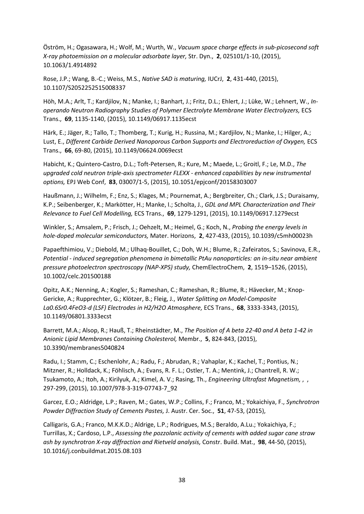Öström, H.; Ogasawara, H.; Wolf, M.; Wurth, W., *Vacuum space charge effects in sub-picosecond soft X-ray photoemission on a molecular adsorbate layer,* Str. Dyn., **2**, 025101/1-10, (2015), 10.1063/1.4914892

Rose, J.P.; Wang, B.-C.; Weiss, M.S., *Native SAD is maturing,* IUCrJ, **2**, 431-440, (2015), 10.1107/S2052252515008337

Höh, M.A.; Arlt, T.; Kardjilov, N.; Manke, I.; Banhart, J.; Fritz, D.L.; Ehlert, J.; Lüke, W.; Lehnert, W., *Inoperando Neutron Radiography Studies of Polymer Electrolyte Membrane Water Electrolyzers,* ECS Trans., **69**, 1135-1140, (2015), 10.1149/06917.1135ecst

Härk, E.; Jäger, R.; Tallo, T.; Thomberg, T.; Kurig, H.; Russina, M.; Kardjilov, N.; Manke, I.; Hilger, A.; Lust, E., Different Carbide Derived Nanoporous Carbon Supports and Electroreduction of Oxygen, ECS Trans., **66**, 69-80, (2015), 10.1149/06624.0069ecst

Habicht, K.; Quintero-Castro, D.L.; Toft-Petersen, R.; Kure, M.; Maede, L.; Groitl, F.; Le, M.D., *The upgraded cold neutron triple-axis spectrometer FLEXX - enhanced capabilities by new instrumental options,* EPJ Web Conf, **83**, 03007/1-5, (2015), 10.1051/epjconf/20158303007

Haußmann, J.; Wilhelm, F.; Enz, S.; Klages, M.; Pournemat, A.; Bergbreiter, Ch.; Clark, J.S.; Duraisamy, K.P.; Seibenberger, K.; Markötter, H.; Manke, I.; Scholta, J., *GDL and MPL Characterization and Their Relevance to Fuel Cell Modelling,* ECS Trans., **69**, 1279-1291, (2015), 10.1149/06917.1279ecst

Winkler, S.; Amsalem, P.; Frisch, J.; Oehzelt, M.; Heimel, G.; Koch, N., *Probing the energy levels in hole-doped molecular semiconductors,* Mater. Horizons, **2**, 427-433, (2015), 10.1039/c5mh00023h

Papaefthimiou, V.; Diebold, M.; Ulhaq-Bouillet, C.; Doh, W.H.; Blume, R.; Zafeiratos, S.; Savinova, E.R., *Potential - induced segregation phenomena in bimetallic PtAu nanoparticles: an in-situ near ambient pressure photoelectron spectroscopy (NAP-XPS) study,* ChemElectroChem, **2**, 1519–1526, (2015), 10.1002/celc.201500188

Opitz, A.K.; Nenning, A.; Kogler, S.; Rameshan, C.; Rameshan, R.; Blume, R.; Hävecker, M.; Knop-Gericke, A.; Rupprechter, G.; Klötzer, B.; Fleig, J., *Water Splitting on Model-Composite La0.6Sr0.4FeO3-d (LSF) Electrodes in H2/H2O Atmosphere,* ECS Trans., **68**, 3333-3343, (2015), 10.1149/06801.3333ecst

Barrett, M.A.; Alsop, R.; Hauß, T.; Rheinstädter, M., *The Position of A beta 22-40 and A beta 1-42 in Anionic Lipid Membranes Containing Cholesterol,* Membr., **5**, 824-843, (2015), 10.3390/membranes5040824

Radu, I.; Stamm, C.; Eschenlohr, A.; Radu, F.; Abrudan, R.; Vahaplar, K.; Kachel, T.; Pontius, N.; Mitzner, R.; Holldack, K.; Föhlisch, A.; Evans, R. F. L.; Ostler, T. A.; Mentink, J.; Chantrell, R. W.; Tsukamoto, A.; Itoh, A.; Kirilyuk, A.; Kimel, A. V.; Rasing, Th., *Engineering Ultrafast Magnetism,* , , 297-299, (2015), 10.1007/978-3-319-07743-7\_92

Garcez, E.O.; Aldridge, L.P.; Raven, M.; Gates, W.P.; Collins, F.; Franco, M.; Yokaichiya, F., *Synchrotron Powder Diffraction Study of Cements Pastes,* J. Austr. Cer. Soc., **51**, 47-53, (2015),

Calligaris, G.A.; Franco, M.K.K.D.; Aldrige, L.P.; Rodrigues, M.S.; Beraldo, A.Lu.; Yokaichiya, F.; Turrillas, X.; Cardoso, L.P., *Assessing the pozzolanic activity of cements with added sugar cane straw ash by synchrotron X-ray diffraction and Rietveld analysis,* Constr. Build. Mat., **98**, 44-50, (2015), 10.1016/j.conbuildmat.2015.08.103